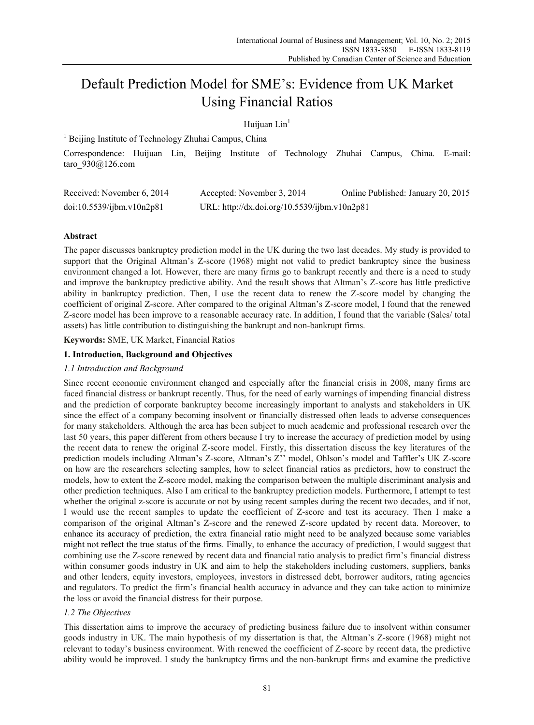# Default Prediction Model for SME's: Evidence from UK Market Using Financial Ratios

# Huijuan Lin<sup>1</sup>

<sup>1</sup> Beijing Institute of Technology Zhuhai Campus, China

Correspondence: Huijuan Lin, Beijing Institute of Technology Zhuhai Campus, China. E-mail: taro\_930@126.com

| Received: November 6, 2014 | Accepted: November 3, 2014                   | Online Published: January 20, 2015 |
|----------------------------|----------------------------------------------|------------------------------------|
| doi:10.5539/ijbm.v10n2p81  | URL: http://dx.doi.org/10.5539/ijbm.v10n2p81 |                                    |

# **Abstract**

The paper discusses bankruptcy prediction model in the UK during the two last decades. My study is provided to support that the Original Altman's Z-score (1968) might not valid to predict bankruptcy since the business environment changed a lot. However, there are many firms go to bankrupt recently and there is a need to study and improve the bankruptcy predictive ability. And the result shows that Altman's Z-score has little predictive ability in bankruptcy prediction. Then, I use the recent data to renew the Z-score model by changing the coefficient of original Z-score. After compared to the original Altman's Z-score model, I found that the renewed Z-score model has been improve to a reasonable accuracy rate. In addition, I found that the variable (Sales/ total assets) has little contribution to distinguishing the bankrupt and non-bankrupt firms.

**Keywords:** SME, UK Market, Financial Ratios

# **1. Introduction, Background and Objectives**

# *1.1 Introduction and Background*

Since recent economic environment changed and especially after the financial crisis in 2008, many firms are faced financial distress or bankrupt recently. Thus, for the need of early warnings of impending financial distress and the prediction of corporate bankruptcy become increasingly important to analysts and stakeholders in UK since the effect of a company becoming insolvent or financially distressed often leads to adverse consequences for many stakeholders. Although the area has been subject to much academic and professional research over the last 50 years, this paper different from others because I try to increase the accuracy of prediction model by using the recent data to renew the original Z-score model. Firstly, this dissertation discuss the key literatures of the prediction models including Altman's Z-score, Altman's Z'' model, Ohlson's model and Taffler's UK Z-score on how are the researchers selecting samples, how to select financial ratios as predictors, how to construct the models, how to extent the Z-score model, making the comparison between the multiple discriminant analysis and other prediction techniques. Also I am critical to the bankruptcy prediction models. Furthermore, I attempt to test whether the original z-score is accurate or not by using recent samples during the recent two decades, and if not, I would use the recent samples to update the coefficient of Z-score and test its accuracy. Then I make a comparison of the original Altman's Z-score and the renewed Z-score updated by recent data. Moreover, to enhance its accuracy of prediction, the extra financial ratio might need to be analyzed because some variables might not reflect the true status of the firms. Finally, to enhance the accuracy of prediction, I would suggest that combining use the Z-score renewed by recent data and financial ratio analysis to predict firm's financial distress within consumer goods industry in UK and aim to help the stakeholders including customers, suppliers, banks and other lenders, equity investors, employees, investors in distressed debt, borrower auditors, rating agencies and regulators. To predict the firm's financial health accuracy in advance and they can take action to minimize the loss or avoid the financial distress for their purpose.

# *1.2 The Objectives*

This dissertation aims to improve the accuracy of predicting business failure due to insolvent within consumer goods industry in UK. The main hypothesis of my dissertation is that, the Altman's Z-score (1968) might not relevant to today's business environment. With renewed the coefficient of Z-score by recent data, the predictive ability would be improved. I study the bankruptcy firms and the non-bankrupt firms and examine the predictive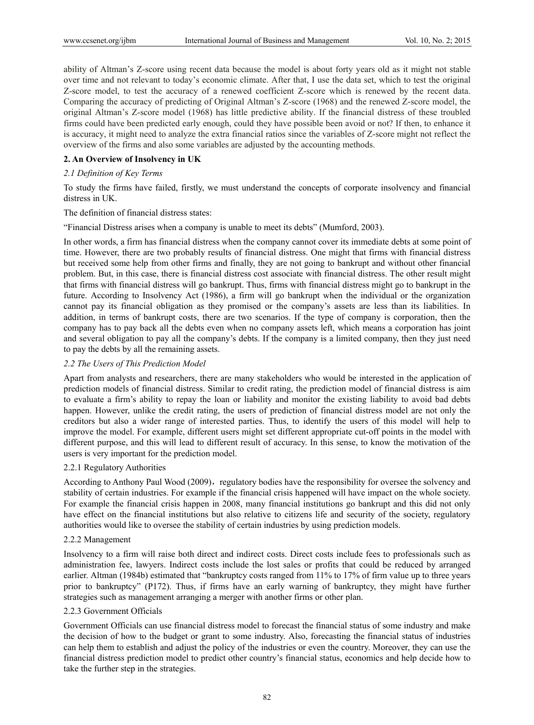ability of Altman's Z-score using recent data because the model is about forty years old as it might not stable over time and not relevant to today's economic climate. After that, I use the data set, which to test the original Z-score model, to test the accuracy of a renewed coefficient Z-score which is renewed by the recent data. Comparing the accuracy of predicting of Original Altman's Z-score (1968) and the renewed Z-score model, the original Altman's Z-score model (1968) has little predictive ability. If the financial distress of these troubled firms could have been predicted early enough, could they have possible been avoid or not? If then, to enhance it is accuracy, it might need to analyze the extra financial ratios since the variables of Z-score might not reflect the overview of the firms and also some variables are adjusted by the accounting methods.

# **2. An Overview of Insolvency in UK**

# *2.1 Definition of Key Terms*

To study the firms have failed, firstly, we must understand the concepts of corporate insolvency and financial distress in UK.

The definition of financial distress states:

"Financial Distress arises when a company is unable to meet its debts" (Mumford, 2003).

In other words, a firm has financial distress when the company cannot cover its immediate debts at some point of time. However, there are two probably results of financial distress. One might that firms with financial distress but received some help from other firms and finally, they are not going to bankrupt and without other financial problem. But, in this case, there is financial distress cost associate with financial distress. The other result might that firms with financial distress will go bankrupt. Thus, firms with financial distress might go to bankrupt in the future. According to Insolvency Act (1986), a firm will go bankrupt when the individual or the organization cannot pay its financial obligation as they promised or the company's assets are less than its liabilities. In addition, in terms of bankrupt costs, there are two scenarios. If the type of company is corporation, then the company has to pay back all the debts even when no company assets left, which means a corporation has joint and several obligation to pay all the company's debts. If the company is a limited company, then they just need to pay the debts by all the remaining assets.

# *2.2 The Users of This Prediction Model*

Apart from analysts and researchers, there are many stakeholders who would be interested in the application of prediction models of financial distress. Similar to credit rating, the prediction model of financial distress is aim to evaluate a firm's ability to repay the loan or liability and monitor the existing liability to avoid bad debts happen. However, unlike the credit rating, the users of prediction of financial distress model are not only the creditors but also a wider range of interested parties. Thus, to identify the users of this model will help to improve the model. For example, different users might set different appropriate cut-off points in the model with different purpose, and this will lead to different result of accuracy. In this sense, to know the motivation of the users is very important for the prediction model.

## 2.2.1 Regulatory Authorities

According to Anthony Paul Wood (2009), regulatory bodies have the responsibility for oversee the solvency and stability of certain industries. For example if the financial crisis happened will have impact on the whole society. For example the financial crisis happen in 2008, many financial institutions go bankrupt and this did not only have effect on the financial institutions but also relative to citizens life and security of the society, regulatory authorities would like to oversee the stability of certain industries by using prediction models.

#### 2.2.2 Management

Insolvency to a firm will raise both direct and indirect costs. Direct costs include fees to professionals such as administration fee, lawyers. Indirect costs include the lost sales or profits that could be reduced by arranged earlier. Altman (1984b) estimated that "bankruptcy costs ranged from 11% to 17% of firm value up to three years prior to bankruptcy" (P172). Thus, if firms have an early warning of bankruptcy, they might have further strategies such as management arranging a merger with another firms or other plan.

#### 2.2.3 Government Officials

Government Officials can use financial distress model to forecast the financial status of some industry and make the decision of how to the budget or grant to some industry. Also, forecasting the financial status of industries can help them to establish and adjust the policy of the industries or even the country. Moreover, they can use the financial distress prediction model to predict other country's financial status, economics and help decide how to take the further step in the strategies.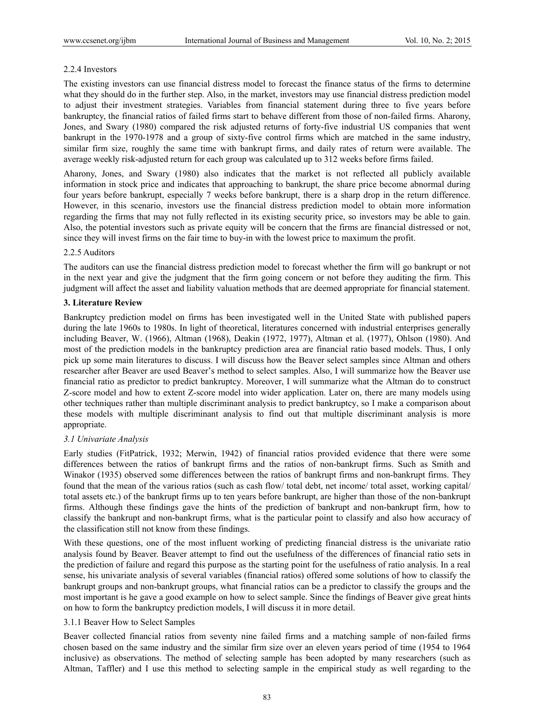# 2.2.4 Investors

The existing investors can use financial distress model to forecast the finance status of the firms to determine what they should do in the further step. Also, in the market, investors may use financial distress prediction model to adjust their investment strategies. Variables from financial statement during three to five years before bankruptcy, the financial ratios of failed firms start to behave different from those of non-failed firms. Aharony, Jones, and Swary (1980) compared the risk adjusted returns of forty-five industrial US companies that went bankrupt in the 1970-1978 and a group of sixty-five control firms which are matched in the same industry, similar firm size, roughly the same time with bankrupt firms, and daily rates of return were available. The average weekly risk-adjusted return for each group was calculated up to 312 weeks before firms failed.

Aharony, Jones, and Swary (1980) also indicates that the market is not reflected all publicly available information in stock price and indicates that approaching to bankrupt, the share price become abnormal during four years before bankrupt, especially 7 weeks before bankrupt, there is a sharp drop in the return difference. However, in this scenario, investors use the financial distress prediction model to obtain more information regarding the firms that may not fully reflected in its existing security price, so investors may be able to gain. Also, the potential investors such as private equity will be concern that the firms are financial distressed or not, since they will invest firms on the fair time to buy-in with the lowest price to maximum the profit.

# 2.2.5 Auditors

The auditors can use the financial distress prediction model to forecast whether the firm will go bankrupt or not in the next year and give the judgment that the firm going concern or not before they auditing the firm. This judgment will affect the asset and liability valuation methods that are deemed appropriate for financial statement.

# **3. Literature Review**

Bankruptcy prediction model on firms has been investigated well in the United State with published papers during the late 1960s to 1980s. In light of theoretical, literatures concerned with industrial enterprises generally including Beaver, W. (1966), Altman (1968), Deakin (1972, 1977), Altman et al. (1977), Ohlson (1980). And most of the prediction models in the bankruptcy prediction area are financial ratio based models. Thus, I only pick up some main literatures to discuss. I will discuss how the Beaver select samples since Altman and others researcher after Beaver are used Beaver's method to select samples. Also, I will summarize how the Beaver use financial ratio as predictor to predict bankruptcy. Moreover, I will summarize what the Altman do to construct Z-score model and how to extent Z-score model into wider application. Later on, there are many models using other techniques rather than multiple discriminant analysis to predict bankruptcy, so I make a comparison about these models with multiple discriminant analysis to find out that multiple discriminant analysis is more appropriate.

# *3.1 Univariate Analysis*

Early studies (FitPatrick, 1932; Merwin, 1942) of financial ratios provided evidence that there were some differences between the ratios of bankrupt firms and the ratios of non-bankrupt firms. Such as Smith and Winakor (1935) observed some differences between the ratios of bankrupt firms and non-bankrupt firms. They found that the mean of the various ratios (such as cash flow/ total debt, net income/ total asset, working capital/ total assets etc.) of the bankrupt firms up to ten years before bankrupt, are higher than those of the non-bankrupt firms. Although these findings gave the hints of the prediction of bankrupt and non-bankrupt firm, how to classify the bankrupt and non-bankrupt firms, what is the particular point to classify and also how accuracy of the classification still not know from these findings.

With these questions, one of the most influent working of predicting financial distress is the univariate ratio analysis found by Beaver. Beaver attempt to find out the usefulness of the differences of financial ratio sets in the prediction of failure and regard this purpose as the starting point for the usefulness of ratio analysis. In a real sense, his univariate analysis of several variables (financial ratios) offered some solutions of how to classify the bankrupt groups and non-bankrupt groups, what financial ratios can be a predictor to classify the groups and the most important is he gave a good example on how to select sample. Since the findings of Beaver give great hints on how to form the bankruptcy prediction models, I will discuss it in more detail.

# 3.1.1 Beaver How to Select Samples

Beaver collected financial ratios from seventy nine failed firms and a matching sample of non-failed firms chosen based on the same industry and the similar firm size over an eleven years period of time (1954 to 1964 inclusive) as observations. The method of selecting sample has been adopted by many researchers (such as Altman, Taffler) and I use this method to selecting sample in the empirical study as well regarding to the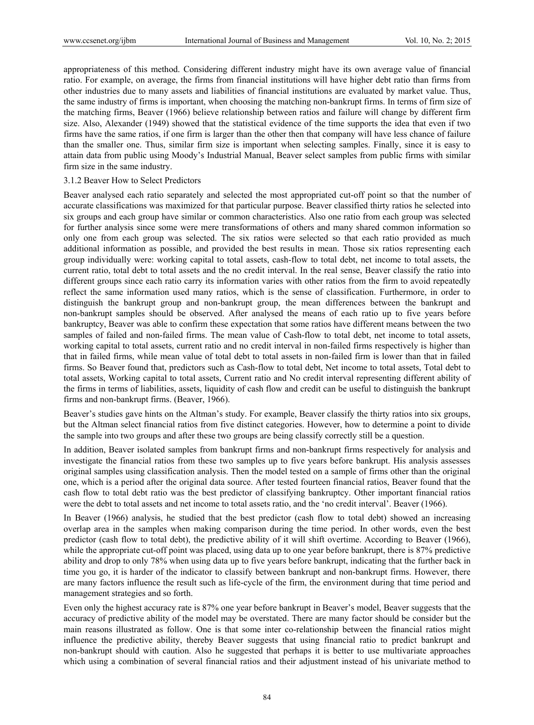appropriateness of this method. Considering different industry might have its own average value of financial ratio. For example, on average, the firms from financial institutions will have higher debt ratio than firms from other industries due to many assets and liabilities of financial institutions are evaluated by market value. Thus, the same industry of firms is important, when choosing the matching non-bankrupt firms. In terms of firm size of the matching firms, Beaver (1966) believe relationship between ratios and failure will change by different firm size. Also, Alexander (1949) showed that the statistical evidence of the time supports the idea that even if two firms have the same ratios, if one firm is larger than the other then that company will have less chance of failure than the smaller one. Thus, similar firm size is important when selecting samples. Finally, since it is easy to attain data from public using Moody's Industrial Manual, Beaver select samples from public firms with similar firm size in the same industry.

#### 3.1.2 Beaver How to Select Predictors

Beaver analysed each ratio separately and selected the most appropriated cut-off point so that the number of accurate classifications was maximized for that particular purpose. Beaver classified thirty ratios he selected into six groups and each group have similar or common characteristics. Also one ratio from each group was selected for further analysis since some were mere transformations of others and many shared common information so only one from each group was selected. The six ratios were selected so that each ratio provided as much additional information as possible, and provided the best results in mean. Those six ratios representing each group individually were: working capital to total assets, cash-flow to total debt, net income to total assets, the current ratio, total debt to total assets and the no credit interval. In the real sense, Beaver classify the ratio into different groups since each ratio carry its information varies with other ratios from the firm to avoid repeatedly reflect the same information used many ratios, which is the sense of classification. Furthermore, in order to distinguish the bankrupt group and non-bankrupt group, the mean differences between the bankrupt and non-bankrupt samples should be observed. After analysed the means of each ratio up to five years before bankruptcy, Beaver was able to confirm these expectation that some ratios have different means between the two samples of failed and non-failed firms. The mean value of Cash-flow to total debt, net income to total assets, working capital to total assets, current ratio and no credit interval in non-failed firms respectively is higher than that in failed firms, while mean value of total debt to total assets in non-failed firm is lower than that in failed firms. So Beaver found that, predictors such as Cash-flow to total debt, Net income to total assets, Total debt to total assets, Working capital to total assets, Current ratio and No credit interval representing different ability of the firms in terms of liabilities, assets, liquidity of cash flow and credit can be useful to distinguish the bankrupt firms and non-bankrupt firms. (Beaver, 1966).

Beaver's studies gave hints on the Altman's study. For example, Beaver classify the thirty ratios into six groups, but the Altman select financial ratios from five distinct categories. However, how to determine a point to divide the sample into two groups and after these two groups are being classify correctly still be a question.

In addition, Beaver isolated samples from bankrupt firms and non-bankrupt firms respectively for analysis and investigate the financial ratios from these two samples up to five years before bankrupt. His analysis assesses original samples using classification analysis. Then the model tested on a sample of firms other than the original one, which is a period after the original data source. After tested fourteen financial ratios, Beaver found that the cash flow to total debt ratio was the best predictor of classifying bankruptcy. Other important financial ratios were the debt to total assets and net income to total assets ratio, and the 'no credit interval'. Beaver (1966).

In Beaver (1966) analysis, he studied that the best predictor (cash flow to total debt) showed an increasing overlap area in the samples when making comparison during the time period. In other words, even the best predictor (cash flow to total debt), the predictive ability of it will shift overtime. According to Beaver (1966), while the appropriate cut-off point was placed, using data up to one year before bankrupt, there is 87% predictive ability and drop to only 78% when using data up to five years before bankrupt, indicating that the further back in time you go, it is harder of the indicator to classify between bankrupt and non-bankrupt firms. However, there are many factors influence the result such as life-cycle of the firm, the environment during that time period and management strategies and so forth.

Even only the highest accuracy rate is 87% one year before bankrupt in Beaver's model, Beaver suggests that the accuracy of predictive ability of the model may be overstated. There are many factor should be consider but the main reasons illustrated as follow. One is that some inter co-relationship between the financial ratios might influence the predictive ability, thereby Beaver suggests that using financial ratio to predict bankrupt and non-bankrupt should with caution. Also he suggested that perhaps it is better to use multivariate approaches which using a combination of several financial ratios and their adjustment instead of his univariate method to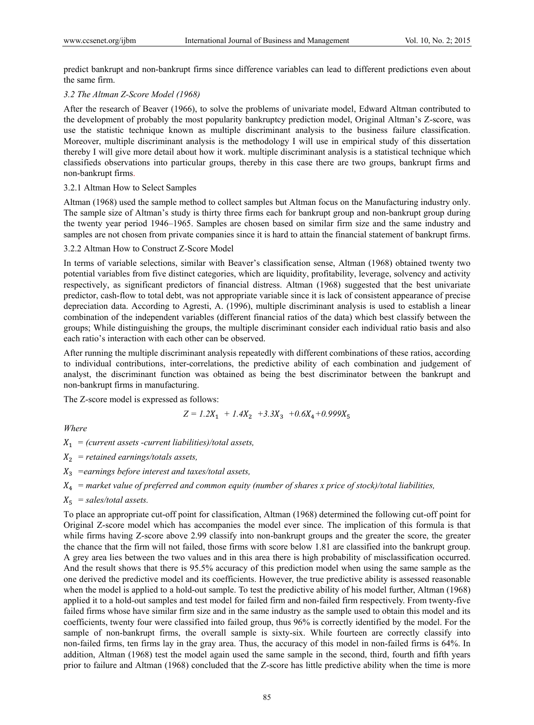predict bankrupt and non-bankrupt firms since difference variables can lead to different predictions even about the same firm.

# *3.2 The Altman Z-Score Model (1968)*

After the research of Beaver (1966), to solve the problems of univariate model, Edward Altman contributed to the development of probably the most popularity bankruptcy prediction model, Original Altman's Z-score, was use the statistic technique known as multiple discriminant analysis to the business failure classification. Moreover, multiple discriminant analysis is the methodology I will use in empirical study of this dissertation thereby I will give more detail about how it work. multiple discriminant analysis is a statistical technique which classifieds observations into particular groups, thereby in this case there are two groups, bankrupt firms and non-bankrupt firms.

## 3.2.1 Altman How to Select Samples

Altman (1968) used the sample method to collect samples but Altman focus on the Manufacturing industry only. The sample size of Altman's study is thirty three firms each for bankrupt group and non-bankrupt group during the twenty year period 1946–1965. Samples are chosen based on similar firm size and the same industry and samples are not chosen from private companies since it is hard to attain the financial statement of bankrupt firms.

## 3.2.2 Altman How to Construct Z-Score Model

In terms of variable selections, similar with Beaver's classification sense, Altman (1968) obtained twenty two potential variables from five distinct categories, which are liquidity, profitability, leverage, solvency and activity respectively, as significant predictors of financial distress. Altman (1968) suggested that the best univariate predictor, cash-flow to total debt, was not appropriate variable since it is lack of consistent appearance of precise depreciation data. According to Agresti, A. (1996), multiple discriminant analysis is used to establish a linear combination of the independent variables (different financial ratios of the data) which best classify between the groups; While distinguishing the groups, the multiple discriminant consider each individual ratio basis and also each ratio's interaction with each other can be observed.

After running the multiple discriminant analysis repeatedly with different combinations of these ratios, according to individual contributions, inter-correlations, the predictive ability of each combination and judgement of analyst, the discriminant function was obtained as being the best discriminator between the bankrupt and non-bankrupt firms in manufacturing.

The Z-score model is expressed as follows:

$$
Z = 1.2X_1 + 1.4X_2 + 3.3X_3 + 0.6X_4 + 0.999X_5
$$

*Where* 

 $X_1 =$  (current assets -current liabilities)/total assets,

- $X_2$  = retained earnings/totals assets,
- $X_3$  =earnings before interest and taxes/total assets,
- $X_4$  = market value of preferred and common equity (number of shares x price of stock)/total liabilities,
- $X_5$  = sales/total assets.

To place an appropriate cut-off point for classification, Altman (1968) determined the following cut-off point for Original Z-score model which has accompanies the model ever since. The implication of this formula is that while firms having Z-score above 2.99 classify into non-bankrupt groups and the greater the score, the greater the chance that the firm will not failed, those firms with score below 1.81 are classified into the bankrupt group. A grey area lies between the two values and in this area there is high probability of misclassification occurred. And the result shows that there is 95.5% accuracy of this prediction model when using the same sample as the one derived the predictive model and its coefficients. However, the true predictive ability is assessed reasonable when the model is applied to a hold-out sample. To test the predictive ability of his model further, Altman (1968) applied it to a hold-out samples and test model for failed firm and non-failed firm respectively. From twenty-five failed firms whose have similar firm size and in the same industry as the sample used to obtain this model and its coefficients, twenty four were classified into failed group, thus 96% is correctly identified by the model. For the sample of non-bankrupt firms, the overall sample is sixty-six. While fourteen are correctly classify into non-failed firms, ten firms lay in the gray area. Thus, the accuracy of this model in non-failed firms is 64%. In addition, Altman (1968) test the model again used the same sample in the second, third, fourth and fifth years prior to failure and Altman (1968) concluded that the Z-score has little predictive ability when the time is more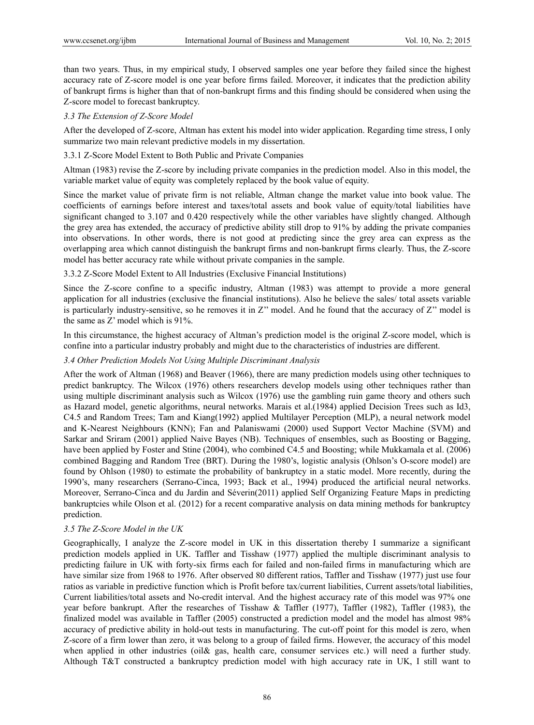than two years. Thus, in my empirical study, I observed samples one year before they failed since the highest accuracy rate of Z-score model is one year before firms failed. Moreover, it indicates that the prediction ability of bankrupt firms is higher than that of non-bankrupt firms and this finding should be considered when using the Z-score model to forecast bankruptcy.

# *3.3 The Extension of Z-Score Model*

After the developed of Z-score, Altman has extent his model into wider application. Regarding time stress, I only summarize two main relevant predictive models in my dissertation.

# 3.3.1 Z-Score Model Extent to Both Public and Private Companies

Altman (1983) revise the Z-score by including private companies in the prediction model. Also in this model, the variable market value of equity was completely replaced by the book value of equity.

Since the market value of private firm is not reliable, Altman change the market value into book value. The coefficients of earnings before interest and taxes/total assets and book value of equity/total liabilities have significant changed to 3.107 and 0.420 respectively while the other variables have slightly changed. Although the grey area has extended, the accuracy of predictive ability still drop to 91% by adding the private companies into observations. In other words, there is not good at predicting since the grey area can express as the overlapping area which cannot distinguish the bankrupt firms and non-bankrupt firms clearly. Thus, the Z-score model has better accuracy rate while without private companies in the sample.

# 3.3.2 Z-Score Model Extent to All Industries (Exclusive Financial Institutions)

Since the Z-score confine to a specific industry, Altman (1983) was attempt to provide a more general application for all industries (exclusive the financial institutions). Also he believe the sales/ total assets variable is particularly industry-sensitive, so he removes it in Z'' model. And he found that the accuracy of Z'' model is the same as Z' model which is 91%.

In this circumstance, the highest accuracy of Altman's prediction model is the original Z-score model, which is confine into a particular industry probably and might due to the characteristics of industries are different.

# *3.4 Other Prediction Models Not Using Multiple Discriminant Analysis*

After the work of Altman (1968) and Beaver (1966), there are many prediction models using other techniques to predict bankruptcy. The Wilcox (1976) others researchers develop models using other techniques rather than using multiple discriminant analysis such as Wilcox (1976) use the gambling ruin game theory and others such as Hazard model, genetic algorithms, neural networks. Marais et al.(1984) applied Decision Trees such as Id3, C4.5 and Random Trees; Tam and Kiang(1992) applied Multilayer Perception (MLP), a neural network model and K-Nearest Neighbours (KNN); Fan and Palaniswami (2000) used Support Vector Machine (SVM) and Sarkar and Sriram (2001) applied Naive Bayes (NB). Techniques of ensembles, such as Boosting or Bagging, have been applied by Foster and Stine (2004), who combined C4.5 and Boosting; while Mukkamala et al. (2006) combined Bagging and Random Tree (BRT). During the 1980's, logistic analysis (Ohlson's O-score model) are found by Ohlson (1980) to estimate the probability of bankruptcy in a static model. More recently, during the 1990's, many researchers (Serrano-Cinca, 1993; Back et al., 1994) produced the artificial neural networks. Moreover, Serrano-Cinca and du Jardin and Séverin(2011) applied Self Organizing Feature Maps in predicting bankruptcies while Olson et al. (2012) for a recent comparative analysis on data mining methods for bankruptcy prediction.

# *3.5 The Z-Score Model in the UK*

Geographically, I analyze the Z-score model in UK in this dissertation thereby I summarize a significant prediction models applied in UK. Taffler and Tisshaw (1977) applied the multiple discriminant analysis to predicting failure in UK with forty-six firms each for failed and non-failed firms in manufacturing which are have similar size from 1968 to 1976. After observed 80 different ratios, Taffler and Tisshaw (1977) just use four ratios as variable in predictive function which is Profit before tax/current liabilities, Current assets/total liabilities, Current liabilities/total assets and No-credit interval. And the highest accuracy rate of this model was 97% one year before bankrupt. After the researches of Tisshaw & Taffler (1977), Taffler (1982), Taffler (1983), the finalized model was available in Taffler (2005) constructed a prediction model and the model has almost 98% accuracy of predictive ability in hold-out tests in manufacturing. The cut-off point for this model is zero, when Z-score of a firm lower than zero, it was belong to a group of failed firms. However, the accuracy of this model when applied in other industries (oil& gas, health care, consumer services etc.) will need a further study. Although T&T constructed a bankruptcy prediction model with high accuracy rate in UK, I still want to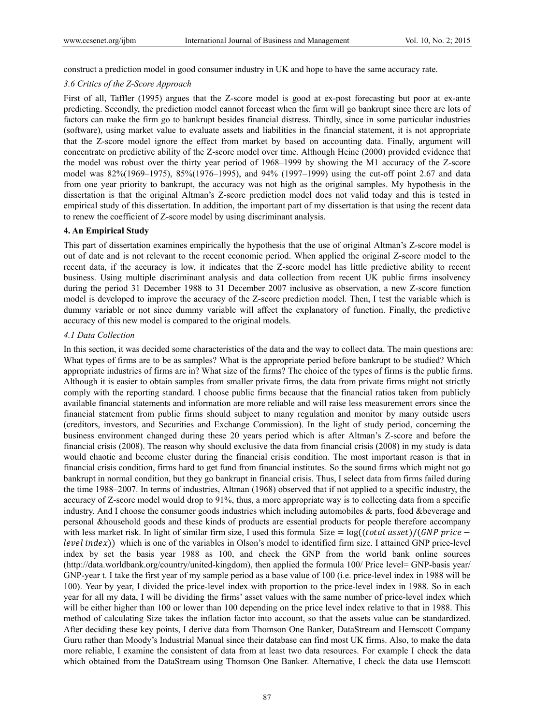construct a prediction model in good consumer industry in UK and hope to have the same accuracy rate.

#### *3.6 Critics of the Z-Score Approach*

First of all, Taffler (1995) argues that the Z-score model is good at ex-post forecasting but poor at ex-ante predicting. Secondly, the prediction model cannot forecast when the firm will go bankrupt since there are lots of factors can make the firm go to bankrupt besides financial distress. Thirdly, since in some particular industries (software), using market value to evaluate assets and liabilities in the financial statement, it is not appropriate that the Z-score model ignore the effect from market by based on accounting data. Finally, argument will concentrate on predictive ability of the Z-score model over time. Although Heine (2000) provided evidence that the model was robust over the thirty year period of 1968–1999 by showing the M1 accuracy of the Z-score model was 82%(1969–1975), 85%(1976–1995), and 94% (1997–1999) using the cut-off point 2.67 and data from one year priority to bankrupt, the accuracy was not high as the original samples. My hypothesis in the dissertation is that the original Altman's Z-score prediction model does not valid today and this is tested in empirical study of this dissertation. In addition, the important part of my dissertation is that using the recent data to renew the coefficient of Z-score model by using discriminant analysis.

## **4. An Empirical Study**

This part of dissertation examines empirically the hypothesis that the use of original Altman's Z-score model is out of date and is not relevant to the recent economic period. When applied the original Z-score model to the recent data, if the accuracy is low, it indicates that the Z-score model has little predictive ability to recent business. Using multiple discriminant analysis and data collection from recent UK public firms insolvency during the period 31 December 1988 to 31 December 2007 inclusive as observation, a new Z-score function model is developed to improve the accuracy of the Z-score prediction model. Then, I test the variable which is dummy variable or not since dummy variable will affect the explanatory of function. Finally, the predictive accuracy of this new model is compared to the original models.

## *4.1 Data Collection*

In this section, it was decided some characteristics of the data and the way to collect data. The main questions are: What types of firms are to be as samples? What is the appropriate period before bankrupt to be studied? Which appropriate industries of firms are in? What size of the firms? The choice of the types of firms is the public firms. Although it is easier to obtain samples from smaller private firms, the data from private firms might not strictly comply with the reporting standard. I choose public firms because that the financial ratios taken from publicly available financial statements and information are more reliable and will raise less measurement errors since the financial statement from public firms should subject to many regulation and monitor by many outside users (creditors, investors, and Securities and Exchange Commission). In the light of study period, concerning the business environment changed during these 20 years period which is after Altman's Z-score and before the financial crisis (2008). The reason why should exclusive the data from financial crisis (2008) in my study is data would chaotic and become cluster during the financial crisis condition. The most important reason is that in financial crisis condition, firms hard to get fund from financial institutes. So the sound firms which might not go bankrupt in normal condition, but they go bankrupt in financial crisis. Thus, I select data from firms failed during the time 1988–2007. In terms of industries, Altman (1968) observed that if not applied to a specific industry, the accuracy of Z-score model would drop to 91%, thus, a more appropriate way is to collecting data from a specific industry. And I choose the consumer goods industries which including automobiles & parts, food &beverage and personal &household goods and these kinds of products are essential products for people therefore accompany with less market risk. In light of similar firm size, I used this formula Size =  $log((total asset)/(GNP price$ *level index*)) which is one of the variables in Olson's model to identified firm size. I attained GNP price-level index by set the basis year 1988 as 100, and check the GNP from the world bank online sources (http://data.worldbank.org/country/united-kingdom), then applied the formula 100/ Price level= GNP-basis year/ GNP-year t. I take the first year of my sample period as a base value of 100 (i.e. price-level index in 1988 will be 100). Year by year, I divided the price-level index with proportion to the price-level index in 1988. So in each year for all my data, I will be dividing the firms' asset values with the same number of price-level index which will be either higher than 100 or lower than 100 depending on the price level index relative to that in 1988. This method of calculating Size takes the inflation factor into account, so that the assets value can be standardized. After deciding these key points, I derive data from Thomson One Banker, DataStream and Hemscott Company Guru rather than Moody's Industrial Manual since their database can find most UK firms. Also, to make the data more reliable, I examine the consistent of data from at least two data resources. For example I check the data which obtained from the DataStream using Thomson One Banker. Alternative, I check the data use Hemscott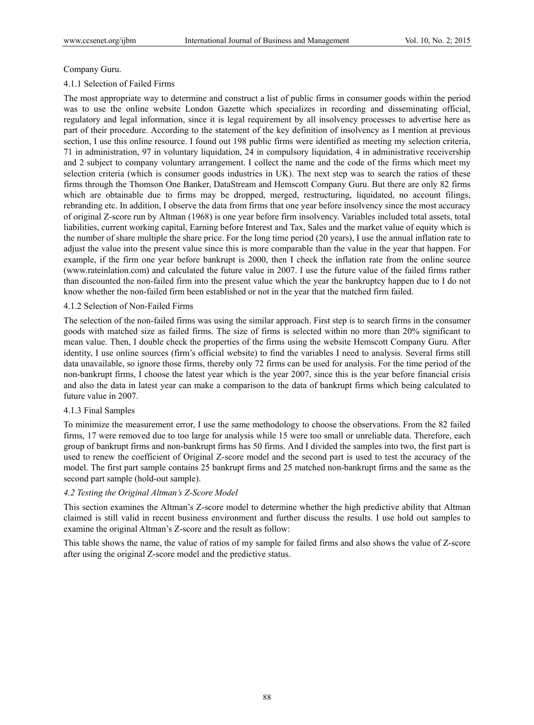# Company Guru.

# 4.1.1 Selection of Failed Firms

The most appropriate way to determine and construct a list of public firms in consumer goods within the period was to use the online website London Gazette which specializes in recording and disseminating official, regulatory and legal information, since it is legal requirement by all insolvency processes to advertise here as part of their procedure. According to the statement of the key definition of insolvency as I mention at previous section, I use this online resource. I found out 198 public firms were identified as meeting my selection criteria, 71 in administration, 97 in voluntary liquidation, 24 in compulsory liquidation, 4 in administrative receivership and 2 subject to company voluntary arrangement. I collect the name and the code of the firms which meet my selection criteria (which is consumer goods industries in UK). The next step was to search the ratios of these firms through the Thomson One Banker, DataStream and Hemscott Company Guru. But there are only 82 firms which are obtainable due to firms may be dropped, merged, restructuring, liquidated, no account filings, rebranding etc. In addition, I observe the data from firms that one year before insolvency since the most accuracy of original Z-score run by Altman (1968) is one year before firm insolvency. Variables included total assets, total liabilities, current working capital, Earning before Interest and Tax, Sales and the market value of equity which is the number of share multiple the share price. For the long time period (20 years), I use the annual inflation rate to adjust the value into the present value since this is more comparable than the value in the year that happen. For example, if the firm one year before bankrupt is 2000, then I check the inflation rate from the online source (www.rateinlation.com) and calculated the future value in 2007. I use the future value of the failed firms rather than discounted the non-failed firm into the present value which the year the bankruptcy happen due to I do not know whether the non-failed firm been established or not in the year that the matched firm failed.

# 4.1.2 Selection of Non-Failed Firms

The selection of the non-failed firms was using the similar approach. First step is to search firms in the consumer goods with matched size as failed firms. The size of firms is selected within no more than 20% significant to mean value. Then, I double check the properties of the firms using the website Hemscott Company Guru. After identity, I use online sources (firm's official website) to find the variables I need to analysis. Several firms still data unavailable, so ignore those firms, thereby only 72 firms can be used for analysis. For the time period of the non-bankrupt firms, I choose the latest year which is the year 2007, since this is the year before financial crisis and also the data in latest year can make a comparison to the data of bankrupt firms which being calculated to future value in 2007.

#### 4.1.3 Final Samples

To minimize the measurement error, I use the same methodology to choose the observations. From the 82 failed firms, 17 were removed due to too large for analysis while 15 were too small or unreliable data. Therefore, each group of bankrupt firms and non-bankrupt firms has 50 firms. And I divided the samples into two, the first part is used to renew the coefficient of Original Z-score model and the second part is used to test the accuracy of the model. The first part sample contains 25 bankrupt firms and 25 matched non-bankrupt firms and the same as the second part sample (hold-out sample).

# *4.2 Testing the Original Altman's Z-Score Model*

This section examines the Altman's Z-score model to determine whether the high predictive ability that Altman claimed is still valid in recent business environment and further discuss the results. I use hold out samples to examine the original Altman's Z-score and the result as follow:

This table shows the name, the value of ratios of my sample for failed firms and also shows the value of Z-score after using the original Z-score model and the predictive status.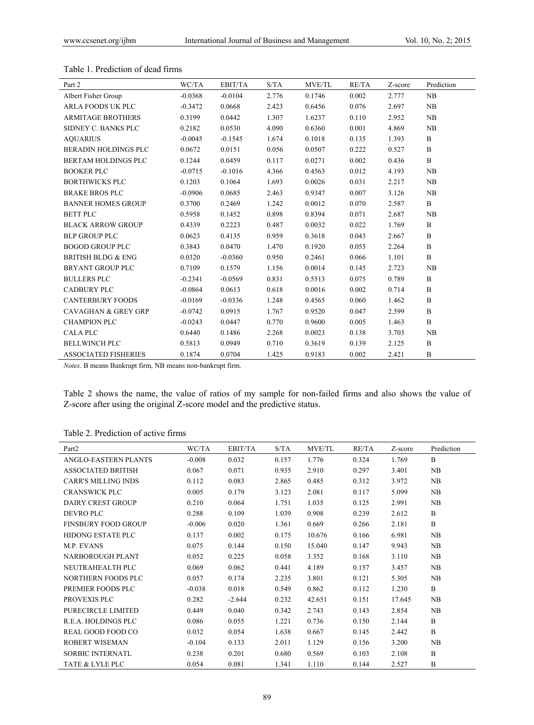| Part 2                         | WC/TA     | EBIT/TA   | S/TA  | <b>MVE/TL</b> | RE/TA | Z-score | Prediction   |
|--------------------------------|-----------|-----------|-------|---------------|-------|---------|--------------|
| Albert Fisher Group            | $-0.0368$ | $-0.0104$ | 2.776 | 0.1746        | 0.002 | 2.777   | NB           |
| <b>ARLA FOODS UK PLC</b>       | $-0.3472$ | 0.0668    | 2.423 | 0.6456        | 0.076 | 2.697   | NB           |
| <b>ARMITAGE BROTHERS</b>       | 0.3199    | 0.0442    | 1.307 | 1.6237        | 0.110 | 2.952   | NB           |
| SIDNEY C. BANKS PLC            | 0.2182    | 0.0530    | 4.090 | 0.6360        | 0.001 | 4.869   | NB           |
| <b>AQUARIUS</b>                | $-0.0045$ | $-0.1545$ | 1.674 | 0.1018        | 0.135 | 1.393   | $\mathbf B$  |
| <b>BERADIN HOLDINGS PLC</b>    | 0.0672    | 0.0151    | 0.056 | 0.0507        | 0.222 | 0.527   | $\mathbf B$  |
| <b>BERTAM HOLDINGS PLC</b>     | 0.1244    | 0.0459    | 0.117 | 0.0271        | 0.002 | 0.436   | B            |
| <b>BOOKER PLC</b>              | $-0.0715$ | $-0.1016$ | 4.366 | 0.4563        | 0.012 | 4.193   | NB           |
| <b>BORTHWICKS PLC</b>          | 0.1203    | 0.1064    | 1.693 | 0.0026        | 0.031 | 2.217   | NB           |
| <b>BRAKE BROS PLC</b>          | $-0.0906$ | 0.0685    | 2.463 | 0.9347        | 0.007 | 3.126   | NB           |
| <b>BANNER HOMES GROUP</b>      | 0.3700    | 0.2469    | 1.242 | 0.0012        | 0.070 | 2.587   | B            |
| <b>BETT PLC</b>                | 0.5958    | 0.1452    | 0.898 | 0.8394        | 0.071 | 2.687   | NB           |
| <b>BLACK ARROW GROUP</b>       | 0.4339    | 0.2223    | 0.487 | 0.0032        | 0.022 | 1.769   | B            |
| <b>BLP GROUP PLC</b>           | 0.0623    | 0.4135    | 0.959 | 0.3618        | 0.043 | 2.667   | $\mathbf B$  |
| <b>BOGOD GROUP PLC</b>         | 0.3843    | 0.0470    | 1.470 | 0.1920        | 0.055 | 2.264   | B            |
| <b>BRITISH BLDG &amp; ENG</b>  | 0.0320    | $-0.0360$ | 0.950 | 0.2461        | 0.066 | 1.101   | $\mathbf B$  |
| <b>BRYANT GROUP PLC</b>        | 0.7109    | 0.1579    | 1.156 | 0.0014        | 0.145 | 2.723   | NB           |
| <b>BULLERS PLC</b>             | $-0.2341$ | $-0.0569$ | 0.831 | 0.5513        | 0.075 | 0.789   | $\mathbf B$  |
| <b>CADBURY PLC</b>             | $-0.0864$ | 0.0613    | 0.618 | 0.0016        | 0.002 | 0.714   | $\, {\bf B}$ |
| <b>CANTERBURY FOODS</b>        | $-0.0169$ | $-0.0336$ | 1.248 | 0.4565        | 0.060 | 1.462   | $\mathbf B$  |
| <b>CAVAGHAN &amp; GREY GRP</b> | $-0.0742$ | 0.0915    | 1.767 | 0.9520        | 0.047 | 2.599   | $\mathbf B$  |
| <b>CHAMPION PLC</b>            | $-0.0243$ | 0.0447    | 0.770 | 0.9600        | 0.005 | 1.463   | B            |
| <b>CALA PLC</b>                | 0.6440    | 0.1486    | 2.268 | 0.0023        | 0.138 | 3.703   | NB           |
| <b>BELLWINCH PLC</b>           | 0.5813    | 0.0949    | 0.710 | 0.3619        | 0.139 | 2.125   | $\mathbf B$  |
| <b>ASSOCIATED FISHERIES</b>    | 0.1874    | 0.0704    | 1.425 | 0.9183        | 0.002 | 2.421   | B            |

#### Table 1. Prediction of dead firms

*Notes.* B means Bankrupt firm, NB means non-bankrupt firm.

Table 2 shows the name, the value of ratios of my sample for non-failed firms and also shows the value of Z-score after using the original Z-score model and the predictive status.

# Table 2. Prediction of active firms

| Part <sub>2</sub>          | WC/TA    | EBIT/TA  | S/TA  | <b>MVE/TL</b> | RE/TA | Z-score | Prediction     |
|----------------------------|----------|----------|-------|---------------|-------|---------|----------------|
| ANGLO-EASTERN PLANTS       | $-0.008$ | 0.032    | 0.157 | 1.776         | 0.324 | 1.769   | $\overline{B}$ |
| <b>ASSOCIATED BRITISH</b>  | 0.067    | 0.071    | 0.935 | 2.910         | 0.297 | 3.401   | NB             |
| <b>CARR'S MILLING INDS</b> | 0.112    | 0.083    | 2.865 | 0.485         | 0.312 | 3.972   | NB             |
| <b>CRANSWICK PLC</b>       | 0.005    | 0.179    | 3.123 | 2.081         | 0.117 | 5.099   | NB             |
| DAIRY CREST GROUP          | 0.210    | 0.064    | 1.751 | 1.035         | 0.125 | 2.991   | NB             |
| DEVRO PLC                  | 0.288    | 0.109    | 1.039 | 0.908         | 0.239 | 2.612   | B              |
| <b>FINSBURY FOOD GROUP</b> | $-0.006$ | 0.020    | 1.361 | 0.669         | 0.266 | 2.181   | $\overline{B}$ |
| <b>HIDONG ESTATE PLC</b>   | 0.137    | 0.002    | 0.175 | 10.676        | 0.166 | 6.981   | NB             |
| <b>M.P. EVANS</b>          | 0.075    | 0.144    | 0.150 | 15.040        | 0.147 | 9.943   | NB             |
| <b>NARBOROUGH PLANT</b>    | 0.052    | 0.225    | 0.058 | 3.352         | 0.168 | 3.110   | NB             |
| NEUTRAHEALTH PLC           | 0.069    | 0.062    | 0.441 | 4.189         | 0.157 | 3.457   | NB             |
| NORTHERN FOODS PLC         | 0.057    | 0.174    | 2.235 | 3.801         | 0.121 | 5.305   | NB             |
| PREMIER FOODS PLC          | $-0.038$ | 0.018    | 0.549 | 0.862         | 0.112 | 1.230   | B              |
| PROVEXIS PLC               | 0.282    | $-2.644$ | 0.232 | 42.651        | 0.151 | 17.645  | NB             |
| PURECIRCLE LIMITED         | 0.449    | 0.040    | 0.342 | 2.743         | 0.143 | 2.854   | NB             |
| R.E.A. HOLDINGS PLC        | 0.086    | 0.055    | 1.221 | 0.736         | 0.150 | 2.144   | B              |
| REAL GOOD FOOD CO          | 0.032    | 0.054    | 1.638 | 0.667         | 0.145 | 2.442   | B              |
| ROBERT WISEMAN             | $-0.104$ | 0.133    | 2.011 | 1.129         | 0.156 | 3.200   | NB             |
| <b>SORBIC INTERNATL</b>    | 0.238    | 0.201    | 0.680 | 0.569         | 0.103 | 2.108   | B              |
| TATE & LYLE PLC            | 0.054    | 0.081    | 1.341 | 1.110         | 0.144 | 2.527   | B              |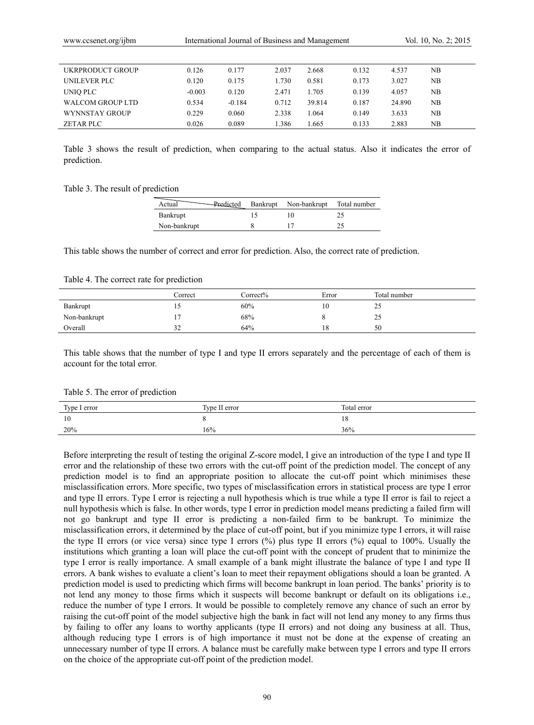| UKRPRODUCT GROUP | 0.126    | 0.177    | 2.037 | 2.668  | 0.132 | 4.537  | NΒ |  |
|------------------|----------|----------|-------|--------|-------|--------|----|--|
| UNILEVER PLC     | 0.120    | 0.175    | 1.730 | 0.581  | 0.173 | 3.027  | NΒ |  |
| UNIO PLC         | $-0.003$ | 0.120    | 2.471 | 1.705  | 0.139 | 4.057  | NB |  |
| WALCOM GROUP LTD | 0.534    | $-0.184$ | 0.712 | 39.814 | 0.187 | 24.890 | NΒ |  |
| WYNNSTAY GROUP   | 0.229    | 0.060    | 2.338 | 1.064  | 0.149 | 3.633  | NB |  |
| ZETAR PLC        | 0.026    | 0.089    | .386  | .665   | 0.133 | 2.883  | NB |  |

Table 3 shows the result of prediction, when comparing to the actual status. Also it indicates the error of prediction.

Table 3. The result of prediction

| Actual<br>Predicted | Bankrupt Non-bankrupt Total number |  |
|---------------------|------------------------------------|--|
| Bankrupt            |                                    |  |
| Non-bankrupt        |                                    |  |

This table shows the number of correct and error for prediction. Also, the correct rate of prediction.

Table 4. The correct rate for prediction

|              | Correct      | Correct% | Error | Total number |
|--------------|--------------|----------|-------|--------------|
| Bankrupt     |              | 60%      | 10    | 20           |
| Non-bankrupt |              | 68%      |       | 25           |
| Overall      | $\sim$<br>32 | 64%      | 18    | 50           |

This table shows that the number of type I and type II errors separately and the percentage of each of them is account for the total error.

Table 5. The error of prediction

| Type I error  | Type II error | Total error |
|---------------|---------------|-------------|
| <sup>10</sup> |               | 18          |
| 20%           | 16%           | 36%         |

Before interpreting the result of testing the original Z-score model, I give an introduction of the type I and type II error and the relationship of these two errors with the cut-off point of the prediction model. The concept of any prediction model is to find an appropriate position to allocate the cut-off point which minimises these misclassification errors. More specific, two types of misclassification errors in statistical process are type I error and type II errors. Type I error is rejecting a null hypothesis which is true while a type II error is fail to reject a null hypothesis which is false. In other words, type I error in prediction model means predicting a failed firm will not go bankrupt and type II error is predicting a non-failed firm to be bankrupt. To minimize the misclassification errors, it determined by the place of cut-off point, but if you minimize type I errors, it will raise the type II errors (or vice versa) since type I errors (%) plus type II errors (%) equal to 100%. Usually the institutions which granting a loan will place the cut-off point with the concept of prudent that to minimize the type I error is really importance. A small example of a bank might illustrate the balance of type I and type II errors. A bank wishes to evaluate a client's loan to meet their repayment obligations should a loan be granted. A prediction model is used to predicting which firms will become bankrupt in loan period. The banks' priority is to not lend any money to those firms which it suspects will become bankrupt or default on its obligations i.e., reduce the number of type I errors. It would be possible to completely remove any chance of such an error by raising the cut-off point of the model subjective high the bank in fact will not lend any money to any firms thus by failing to offer any loans to worthy applicants (type II errors) and not doing any business at all. Thus, although reducing type I errors is of high importance it must not be done at the expense of creating an unnecessary number of type II errors. A balance must be carefully make between type I errors and type II errors on the choice of the appropriate cut-off point of the prediction model.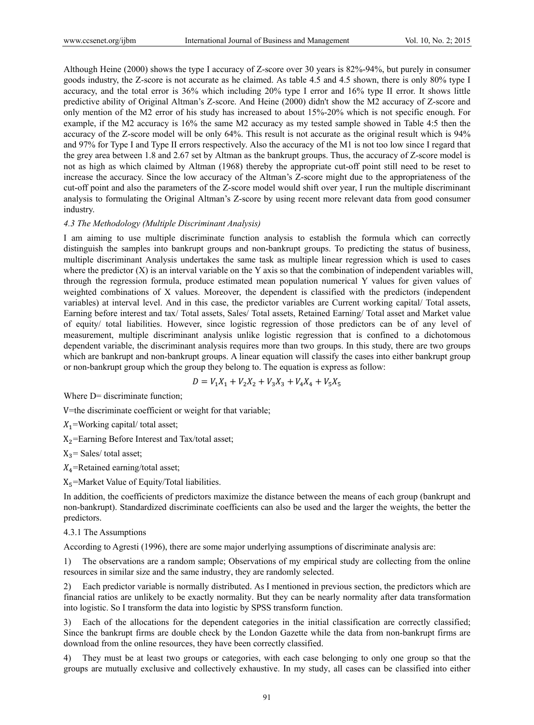Although Heine (2000) shows the type I accuracy of Z-score over 30 years is 82%-94%, but purely in consumer goods industry, the Z-score is not accurate as he claimed. As table 4.5 and 4.5 shown, there is only 80% type I accuracy, and the total error is 36% which including 20% type I error and 16% type II error. It shows little predictive ability of Original Altman's Z-score. And Heine (2000) didn't show the M2 accuracy of Z-score and only mention of the M2 error of his study has increased to about 15%-20% which is not specific enough. For example, if the M2 accuracy is 16% the same M2 accuracy as my tested sample showed in Table 4:5 then the accuracy of the Z-score model will be only 64%. This result is not accurate as the original result which is 94% and 97% for Type I and Type II errors respectively. Also the accuracy of the M1 is not too low since I regard that the grey area between 1.8 and 2.67 set by Altman as the bankrupt groups. Thus, the accuracy of Z-score model is not as high as which claimed by Altman (1968) thereby the appropriate cut-off point still need to be reset to increase the accuracy. Since the low accuracy of the Altman's Z-score might due to the appropriateness of the cut-off point and also the parameters of the Z-score model would shift over year, I run the multiple discriminant analysis to formulating the Original Altman's Z-score by using recent more relevant data from good consumer industry.

#### *4.3 The Methodology (Multiple Discriminant Analysis)*

I am aiming to use multiple discriminate function analysis to establish the formula which can correctly distinguish the samples into bankrupt groups and non-bankrupt groups. To predicting the status of business, multiple discriminant Analysis undertakes the same task as multiple linear regression which is used to cases where the predictor  $(X)$  is an interval variable on the Y axis so that the combination of independent variables will, through the regression formula, produce estimated mean population numerical Y values for given values of weighted combinations of X values. Moreover, the dependent is classified with the predictors (independent variables) at interval level. And in this case, the predictor variables are Current working capital/ Total assets, Earning before interest and tax/ Total assets, Sales/ Total assets, Retained Earning/ Total asset and Market value of equity/ total liabilities. However, since logistic regression of those predictors can be of any level of measurement, multiple discriminant analysis unlike logistic regression that is confined to a dichotomous dependent variable, the discriminant analysis requires more than two groups. In this study, there are two groups which are bankrupt and non-bankrupt groups. A linear equation will classify the cases into either bankrupt group or non-bankrupt group which the group they belong to. The equation is express as follow:

$$
D = V_1 X_1 + V_2 X_2 + V_3 X_3 + V_4 X_4 + V_5 X_5
$$

Where D= discriminate function;

V=the discriminate coefficient or weight for that variable;

 $X_1$ =Working capital/ total asset;

 $X_2$ =Earning Before Interest and Tax/total asset;

 $X_3$ = Sales/ total asset;

 $X_4$ =Retained earning/total asset;

 $X_5$ =Market Value of Equity/Total liabilities.

In addition, the coefficients of predictors maximize the distance between the means of each group (bankrupt and non-bankrupt). Standardized discriminate coefficients can also be used and the larger the weights, the better the predictors.

#### 4.3.1 The Assumptions

According to Agresti (1996), there are some major underlying assumptions of discriminate analysis are:

1) The observations are a random sample; Observations of my empirical study are collecting from the online resources in similar size and the same industry, they are randomly selected.

2) Each predictor variable is normally distributed. As I mentioned in previous section, the predictors which are financial ratios are unlikely to be exactly normality. But they can be nearly normality after data transformation into logistic. So I transform the data into logistic by SPSS transform function.

3) Each of the allocations for the dependent categories in the initial classification are correctly classified; Since the bankrupt firms are double check by the London Gazette while the data from non-bankrupt firms are download from the online resources, they have been correctly classified.

4) They must be at least two groups or categories, with each case belonging to only one group so that the groups are mutually exclusive and collectively exhaustive. In my study, all cases can be classified into either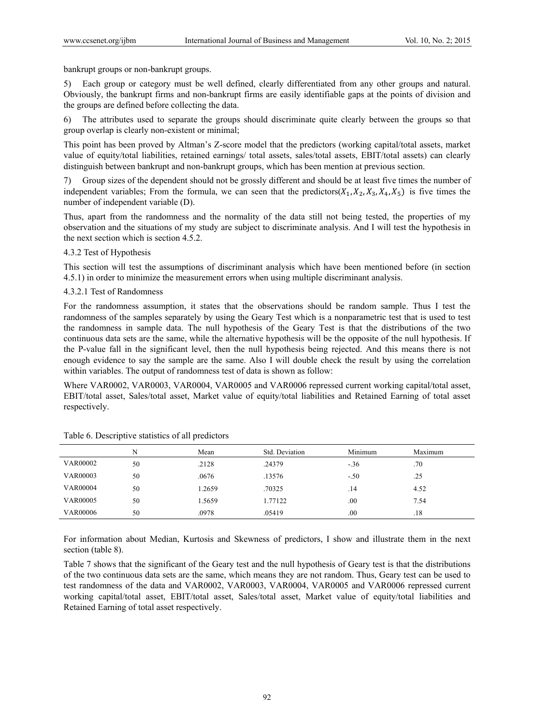bankrupt groups or non-bankrupt groups.

5) Each group or category must be well defined, clearly differentiated from any other groups and natural. Obviously, the bankrupt firms and non-bankrupt firms are easily identifiable gaps at the points of division and the groups are defined before collecting the data.

6) The attributes used to separate the groups should discriminate quite clearly between the groups so that group overlap is clearly non-existent or minimal;

This point has been proved by Altman's Z-score model that the predictors (working capital/total assets, market value of equity/total liabilities, retained earnings/ total assets, sales/total assets, EBIT/total assets) can clearly distinguish between bankrupt and non-bankrupt groups, which has been mention at previous section.

7) Group sizes of the dependent should not be grossly different and should be at least five times the number of independent variables; From the formula, we can seen that the predictors( $X_1, X_2, X_3, X_4, X_5$ ) is five times the number of independent variable (D).

Thus, apart from the randomness and the normality of the data still not being tested, the properties of my observation and the situations of my study are subject to discriminate analysis. And I will test the hypothesis in the next section which is section 4.5.2.

## 4.3.2 Test of Hypothesis

This section will test the assumptions of discriminant analysis which have been mentioned before (in section 4.5.1) in order to minimize the measurement errors when using multiple discriminant analysis.

## 4.3.2.1 Test of Randomness

For the randomness assumption, it states that the observations should be random sample. Thus I test the randomness of the samples separately by using the Geary Test which is a nonparametric test that is used to test the randomness in sample data. The null hypothesis of the Geary Test is that the distributions of the two continuous data sets are the same, while the alternative hypothesis will be the opposite of the null hypothesis. If the P-value fall in the significant level, then the null hypothesis being rejected. And this means there is not enough evidence to say the sample are the same. Also I will double check the result by using the correlation within variables. The output of randomness test of data is shown as follow:

Where VAR0002, VAR0003, VAR0004, VAR0005 and VAR0006 repressed current working capital/total asset, EBIT/total asset, Sales/total asset, Market value of equity/total liabilities and Retained Earning of total asset respectively.

|                 |    | Mean   | Std. Deviation | Minimum | Maximum |  |
|-----------------|----|--------|----------------|---------|---------|--|
| <b>VAR00002</b> | 50 | .2128  | .24379         | $-.36$  | .70     |  |
| <b>VAR00003</b> | 50 | .0676  | .13576         | $-.50$  | .25     |  |
| <b>VAR00004</b> | 50 | 1.2659 | .70325         | .14     | 4.52    |  |
| <b>VAR00005</b> | 50 | 1.5659 | 1.77122        | .00     | 7.54    |  |
| <b>VAR00006</b> | 50 | .0978  | .05419         | .00     | .18     |  |

| Table 6. Descriptive statistics of all predictors |  |  |
|---------------------------------------------------|--|--|
|                                                   |  |  |

For information about Median, Kurtosis and Skewness of predictors, I show and illustrate them in the next section (table 8).

Table 7 shows that the significant of the Geary test and the null hypothesis of Geary test is that the distributions of the two continuous data sets are the same, which means they are not random. Thus, Geary test can be used to test randomness of the data and VAR0002, VAR0003, VAR0004, VAR0005 and VAR0006 repressed current working capital/total asset, EBIT/total asset, Sales/total asset, Market value of equity/total liabilities and Retained Earning of total asset respectively.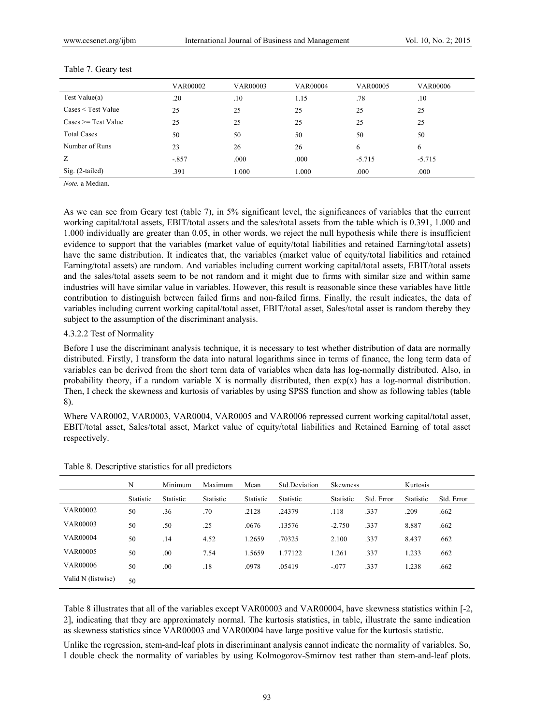|                                   | <b>VAR00002</b> | <b>VAR00003</b> | <b>VAR00004</b> | <b>VAR00005</b> | <b>VAR00006</b> |
|-----------------------------------|-----------------|-----------------|-----------------|-----------------|-----------------|
| Test Value $(a)$                  | .20             | .10             | 1.15            | .78             | .10             |
| Cases < Test Value                | 25              | 25              | 25              | 25              | 25              |
| $\text{Case} = \text{Test Value}$ | 25              | 25              | 25              | 25              | 25              |
| <b>Total Cases</b>                | 50              | 50              | 50              | 50              | 50              |
| Number of Runs                    | 23              | 26              | 26              | 6               | 6               |
| Z                                 | $-.857$         | .000            | .000            | $-5.715$        | $-5.715$        |
| $Sig. (2-tailed)$                 | .391            | 1.000           | 1.000           | .000            | .000            |

#### Table 7. Geary test

*Note.* a Median.

As we can see from Geary test (table 7), in 5% significant level, the significances of variables that the current working capital/total assets, EBIT/total assets and the sales/total assets from the table which is 0.391, 1.000 and 1.000 individually are greater than 0.05, in other words, we reject the null hypothesis while there is insufficient evidence to support that the variables (market value of equity/total liabilities and retained Earning/total assets) have the same distribution. It indicates that, the variables (market value of equity/total liabilities and retained Earning/total assets) are random. And variables including current working capital/total assets, EBIT/total assets and the sales/total assets seem to be not random and it might due to firms with similar size and within same industries will have similar value in variables. However, this result is reasonable since these variables have little contribution to distinguish between failed firms and non-failed firms. Finally, the result indicates, the data of variables including current working capital/total asset, EBIT/total asset, Sales/total asset is random thereby they subject to the assumption of the discriminant analysis.

## 4.3.2.2 Test of Normality

Before I use the discriminant analysis technique, it is necessary to test whether distribution of data are normally distributed. Firstly, I transform the data into natural logarithms since in terms of finance, the long term data of variables can be derived from the short term data of variables when data has log-normally distributed. Also, in probability theory, if a random variable X is normally distributed, then  $exp(x)$  has a log-normal distribution. Then, I check the skewness and kurtosis of variables by using SPSS function and show as following tables (table 8).

Where VAR0002, VAR0003, VAR0004, VAR0005 and VAR0006 repressed current working capital/total asset, EBIT/total asset, Sales/total asset, Market value of equity/total liabilities and Retained Earning of total asset respectively.

|                    | N         | Minimum   | Maximum   | Mean      | <b>Std Deviation</b> | <b>Skewness</b> |            | Kurtosis  |            |
|--------------------|-----------|-----------|-----------|-----------|----------------------|-----------------|------------|-----------|------------|
|                    | Statistic | Statistic | Statistic | Statistic | Statistic            | Statistic       | Std. Error | Statistic | Std. Error |
| <b>VAR00002</b>    | 50        | .36       | .70       | .2128     | .24379               | .118            | .337       | .209      | .662       |
| <b>VAR00003</b>    | 50        | .50       | .25       | .0676     | .13576               | $-2.750$        | .337       | 8.887     | .662       |
| <b>VAR00004</b>    | 50        | .14       | 4.52      | 1.2659    | .70325               | 2.100           | .337       | 8.437     | .662       |
| <b>VAR00005</b>    | 50        | .00       | 7.54      | 1.5659    | 1.77122              | 1.261           | .337       | 1.233     | .662       |
| <b>VAR00006</b>    | 50        | .00       | .18       | .0978     | .05419               | $-.077$         | .337       | 1.238     | .662       |
| Valid N (listwise) | 50        |           |           |           |                      |                 |            |           |            |

Table 8. Descriptive statistics for all predictors

Table 8 illustrates that all of the variables except VAR00003 and VAR00004, have skewness statistics within [-2, 2], indicating that they are approximately normal. The kurtosis statistics, in table, illustrate the same indication as skewness statistics since VAR00003 and VAR00004 have large positive value for the kurtosis statistic.

Unlike the regression, stem-and-leaf plots in discriminant analysis cannot indicate the normality of variables. So, I double check the normality of variables by using Kolmogorov-Smirnov test rather than stem-and-leaf plots.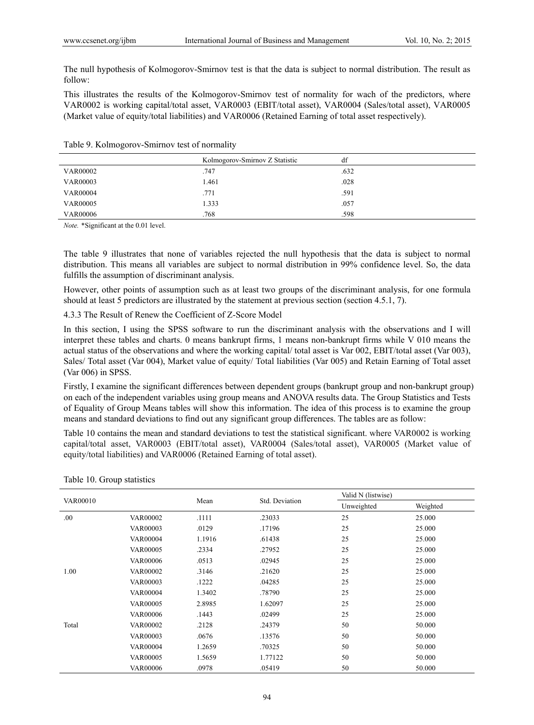The null hypothesis of Kolmogorov-Smirnov test is that the data is subject to normal distribution. The result as follow:

This illustrates the results of the Kolmogorov-Smirnov test of normality for wach of the predictors, where VAR0002 is working capital/total asset, VAR0003 (EBIT/total asset), VAR0004 (Sales/total asset), VAR0005 (Market value of equity/total liabilities) and VAR0006 (Retained Earning of total asset respectively).

|  |  |  | Table 9. Kolmogorov-Smirnov test of normality |
|--|--|--|-----------------------------------------------|
|--|--|--|-----------------------------------------------|

|                 | Kolmogorov-Smirnov Z Statistic | df   |
|-----------------|--------------------------------|------|
| <b>VAR00002</b> | .747                           | .632 |
| <b>VAR00003</b> | 1.461                          | .028 |
| <b>VAR00004</b> | .771                           | .591 |
| <b>VAR00005</b> | 1.333                          | .057 |
| <b>VAR00006</b> | .768                           | .598 |

*Note.* \*Significant at the 0.01 level.

The table 9 illustrates that none of variables rejected the null hypothesis that the data is subject to normal distribution. This means all variables are subject to normal distribution in 99% confidence level. So, the data fulfills the assumption of discriminant analysis.

However, other points of assumption such as at least two groups of the discriminant analysis, for one formula should at least 5 predictors are illustrated by the statement at previous section (section 4.5.1, 7).

4.3.3 The Result of Renew the Coefficient of Z-Score Model

In this section, I using the SPSS software to run the discriminant analysis with the observations and I will interpret these tables and charts. 0 means bankrupt firms, 1 means non-bankrupt firms while V 010 means the actual status of the observations and where the working capital/ total asset is Var 002, EBIT/total asset (Var 003), Sales/ Total asset (Var 004), Market value of equity/ Total liabilities (Var 005) and Retain Earning of Total asset (Var 006) in SPSS.

Firstly, I examine the significant differences between dependent groups (bankrupt group and non-bankrupt group) on each of the independent variables using group means and ANOVA results data. The Group Statistics and Tests of Equality of Group Means tables will show this information. The idea of this process is to examine the group means and standard deviations to find out any significant group differences. The tables are as follow:

Table 10 contains the mean and standard deviations to test the statistical significant. where VAR0002 is working capital/total asset, VAR0003 (EBIT/total asset), VAR0004 (Sales/total asset), VAR0005 (Market value of equity/total liabilities) and VAR0006 (Retained Earning of total asset).

|                 |                 |        |                | Valid N (listwise) |          |  |
|-----------------|-----------------|--------|----------------|--------------------|----------|--|
| <b>VAR00010</b> |                 | Mean   | Std. Deviation | Unweighted         | Weighted |  |
| .00             | <b>VAR00002</b> | .1111  | .23033         | 25                 | 25.000   |  |
|                 | <b>VAR00003</b> | .0129  | .17196         | 25                 | 25.000   |  |
|                 | <b>VAR00004</b> | 1.1916 | .61438         | 25                 | 25.000   |  |
|                 | <b>VAR00005</b> | .2334  | .27952         | 25                 | 25.000   |  |
|                 | <b>VAR00006</b> | .0513  | .02945         | 25                 | 25.000   |  |
| 1.00            | <b>VAR00002</b> | .3146  | .21620         | 25                 | 25.000   |  |
|                 | <b>VAR00003</b> | .1222  | .04285         | 25                 | 25.000   |  |
|                 | <b>VAR00004</b> | 1.3402 | .78790         | 25                 | 25.000   |  |
|                 | <b>VAR00005</b> | 2.8985 | 1.62097        | 25                 | 25.000   |  |
|                 | <b>VAR00006</b> | .1443  | .02499         | 25                 | 25.000   |  |
| Total           | <b>VAR00002</b> | .2128  | .24379         | 50                 | 50.000   |  |
|                 | <b>VAR00003</b> | .0676  | .13576         | 50                 | 50.000   |  |
|                 | <b>VAR00004</b> | 1.2659 | .70325         | 50                 | 50.000   |  |
|                 | <b>VAR00005</b> | 1.5659 | 1.77122        | 50                 | 50.000   |  |
|                 | <b>VAR00006</b> | .0978  | .05419         | 50                 | 50.000   |  |

Table 10. Group statistics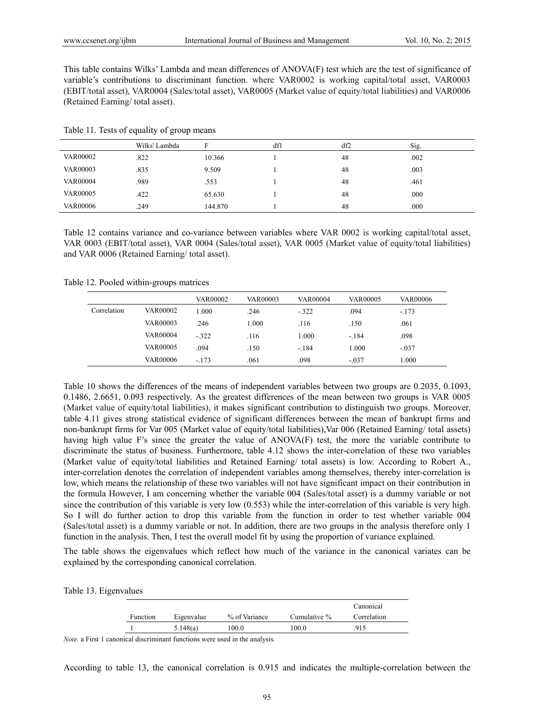This table contains Wilks' Lambda and mean differences of ANOVA(F) test which are the test of significance of variable's contributions to discriminant function. where VAR0002 is working capital/total asset, VAR0003 (EBIT/total asset), VAR0004 (Sales/total asset), VAR0005 (Market value of equity/total liabilities) and VAR0006 (Retained Earning/ total asset).

|                 | Wilks' Lambda |         | df1 | df2 | Sig. |
|-----------------|---------------|---------|-----|-----|------|
| <b>VAR00002</b> | .822          | 10.366  |     | 48  | .002 |
| <b>VAR00003</b> | .835          | 9.509   |     | 48  | .003 |
| <b>VAR00004</b> | .989          | .553    |     | 48  | .461 |
| <b>VAR00005</b> | .422          | 65.630  |     | 48  | .000 |
| <b>VAR00006</b> | .249          | 144.870 |     | 48  | .000 |

Table 11. Tests of equality of group means

Table 12 contains variance and co-variance between variables where VAR 0002 is working capital/total asset, VAR 0003 (EBIT/total asset), VAR 0004 (Sales/total asset), VAR 0005 (Market value of equity/total liabilities) and VAR 0006 (Retained Earning/ total asset).

Table 12. Pooled within-groups matrices

|             |                 | <b>VAR00002</b> | VAR00003 | <b>VAR00004</b> | <b>VAR00005</b> | <b>VAR00006</b> |
|-------------|-----------------|-----------------|----------|-----------------|-----------------|-----------------|
| Correlation | VAR00002        | 1.000           | .246     | $-322$          | .094            | $-.173$         |
|             | <b>VAR00003</b> | .246            | 1.000    | .116            | .150            | .061            |
|             | VAR00004        | $-322$          | .116     | 1.000           | $-.184$         | .098            |
|             | <b>VAR00005</b> | .094            | .150     | $-.184$         | 1.000           | $-.037$         |
|             | <b>VAR00006</b> | $-.173$         | .061     | .098            | $-.037$         | 1.000           |

Table 10 shows the differences of the means of independent variables between two groups are 0.2035, 0.1093, 0.1486, 2.6651, 0.093 respectively. As the greatest differences of the mean between two groups is VAR 0005 (Market value of equity/total liabilities), it makes significant contribution to distinguish two groups. Moreover, table 4.11 gives strong statistical evidence of significant differences between the mean of bankrupt firms and non-bankrupt firms for Var 005 (Market value of equity/total liabilities),Var 006 (Retained Earning/ total assets) having high value F's since the greater the value of ANOVA(F) test, the more the variable contribute to discriminate the status of business. Furthermore, table 4.12 shows the inter-correlation of these two variables (Market value of equity/total liabilities and Retained Earning/ total assets) is low. According to Robert A., inter-correlation denotes the correlation of independent variables among themselves, thereby inter-correlation is low, which means the relationship of these two variables will not have significant impact on their contribution in the formula However, I am concerning whether the variable 004 (Sales/total asset) is a dummy variable or not since the contribution of this variable is very low (0.553) while the inter-correlation of this variable is very high. So I will do further action to drop this variable from the function in order to test whether variable 004 (Sales/total asset) is a dummy variable or not. In addition, there are two groups in the analysis therefore only 1 function in the analysis. Then, I test the overall model fit by using the proportion of variance explained.

The table shows the eigenvalues which reflect how much of the variance in the canonical variates can be explained by the corresponding canonical correlation.

|          |            |               |              | Canonical   |
|----------|------------|---------------|--------------|-------------|
| Function | Eigenvalue | % of Variance | Cumulative % | Correlation |
|          | 5.148(a)   | 100.0         | 100.0        | 915         |

*Note.* a First 1 canonical discriminant functions were used in the analysis.

According to table 13, the canonical correlation is 0.915 and indicates the multiple-correlation between the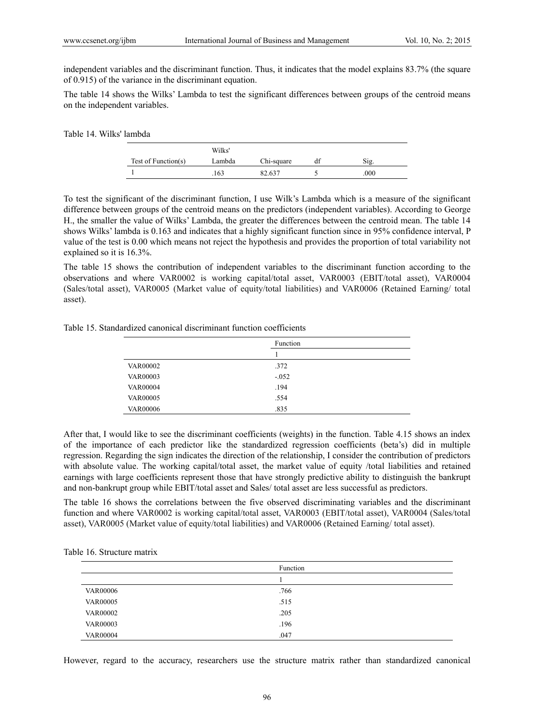independent variables and the discriminant function. Thus, it indicates that the model explains 83.7% (the square of 0.915) of the variance in the discriminant equation.

The table 14 shows the Wilks' Lambda to test the significant differences between groups of the centroid means on the independent variables.

| Table 14. Wilks' lambda |                     |        |            |    |      |
|-------------------------|---------------------|--------|------------|----|------|
|                         |                     | Wilks' |            |    |      |
|                         | Test of Function(s) | Lambda | Chi-square | df | Sig. |
|                         |                     | 163    | 82.637     |    | .000 |

To test the significant of the discriminant function, I use Wilk's Lambda which is a measure of the significant difference between groups of the centroid means on the predictors (independent variables). According to George H., the smaller the value of Wilks' Lambda, the greater the differences between the centroid mean. The table 14 shows Wilks' lambda is 0.163 and indicates that a highly significant function since in 95% confidence interval, P value of the test is 0.00 which means not reject the hypothesis and provides the proportion of total variability not explained so it is 16.3%.

The table 15 shows the contribution of independent variables to the discriminant function according to the observations and where VAR0002 is working capital/total asset, VAR0003 (EBIT/total asset), VAR0004 (Sales/total asset), VAR0005 (Market value of equity/total liabilities) and VAR0006 (Retained Earning/ total asset).

|                 | Function |  |
|-----------------|----------|--|
|                 |          |  |
| <b>VAR00002</b> | .372     |  |
| <b>VAR00003</b> | $-.052$  |  |
| <b>VAR00004</b> | .194     |  |
| <b>VAR00005</b> | .554     |  |
| <b>VAR00006</b> | .835     |  |

Table 15. Standardized canonical discriminant function coefficients

After that, I would like to see the discriminant coefficients (weights) in the function. Table 4.15 shows an index of the importance of each predictor like the standardized regression coefficients (beta's) did in multiple regression. Regarding the sign indicates the direction of the relationship, I consider the contribution of predictors with absolute value. The working capital/total asset, the market value of equity /total liabilities and retained earnings with large coefficients represent those that have strongly predictive ability to distinguish the bankrupt and non-bankrupt group while EBIT/total asset and Sales/ total asset are less successful as predictors.

The table 16 shows the correlations between the five observed discriminating variables and the discriminant function and where VAR0002 is working capital/total asset, VAR0003 (EBIT/total asset), VAR0004 (Sales/total asset), VAR0005 (Market value of equity/total liabilities) and VAR0006 (Retained Earning/ total asset).

|  |  | Table 16. Structure matrix |  |
|--|--|----------------------------|--|
|--|--|----------------------------|--|

|                 | Function |
|-----------------|----------|
|                 |          |
| <b>VAR00006</b> | .766     |
| <b>VAR00005</b> | .515     |
| <b>VAR00002</b> | .205     |
| <b>VAR00003</b> | .196     |
| <b>VAR00004</b> | .047     |

However, regard to the accuracy, researchers use the structure matrix rather than standardized canonical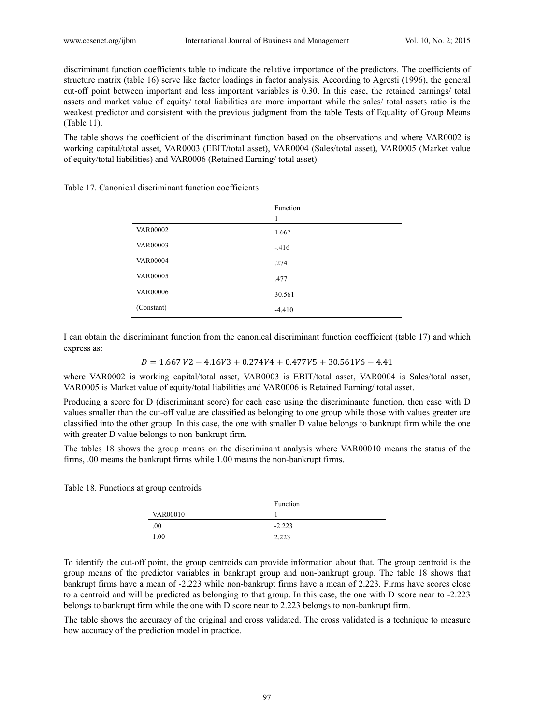discriminant function coefficients table to indicate the relative importance of the predictors. The coefficients of structure matrix (table 16) serve like factor loadings in factor analysis. According to Agresti (1996), the general cut-off point between important and less important variables is 0.30. In this case, the retained earnings/ total assets and market value of equity/ total liabilities are more important while the sales/ total assets ratio is the weakest predictor and consistent with the previous judgment from the table Tests of Equality of Group Means (Table 11).

The table shows the coefficient of the discriminant function based on the observations and where VAR0002 is working capital/total asset, VAR0003 (EBIT/total asset), VAR0004 (Sales/total asset), VAR0005 (Market value of equity/total liabilities) and VAR0006 (Retained Earning/ total asset).

|                 | Function<br>1 |
|-----------------|---------------|
| <b>VAR00002</b> | 1.667         |
| <b>VAR00003</b> | $-.416$       |
| <b>VAR00004</b> | .274          |
| <b>VAR00005</b> | .477          |
| <b>VAR00006</b> | 30.561        |
| (Constant)      | $-4.410$      |

Table 17. Canonical discriminant function coefficients

I can obtain the discriminant function from the canonical discriminant function coefficient (table 17) and which express as:

 $D = 1.667\,V2 - 4.16V3 + 0.274V4 + 0.477V5 + 30.561V6 - 4.41$ 

where VAR0002 is working capital/total asset, VAR0003 is EBIT/total asset, VAR0004 is Sales/total asset, VAR0005 is Market value of equity/total liabilities and VAR0006 is Retained Earning/ total asset.

Producing a score for D (discriminant score) for each case using the discriminante function, then case with D values smaller than the cut-off value are classified as belonging to one group while those with values greater are classified into the other group. In this case, the one with smaller D value belongs to bankrupt firm while the one with greater D value belongs to non-bankrupt firm.

The tables 18 shows the group means on the discriminant analysis where VAR00010 means the status of the firms, .00 means the bankrupt firms while 1.00 means the non-bankrupt firms.

Table 18. Functions at group centroids

|                 | Function |
|-----------------|----------|
| <b>VAR00010</b> |          |
| .00.            | $-2.223$ |
| 1.00            | 2.223    |

To identify the cut-off point, the group centroids can provide information about that. The group centroid is the group means of the predictor variables in bankrupt group and non-bankrupt group. The table 18 shows that bankrupt firms have a mean of -2.223 while non-bankrupt firms have a mean of 2.223. Firms have scores close to a centroid and will be predicted as belonging to that group. In this case, the one with D score near to -2.223 belongs to bankrupt firm while the one with D score near to 2.223 belongs to non-bankrupt firm.

The table shows the accuracy of the original and cross validated. The cross validated is a technique to measure how accuracy of the prediction model in practice.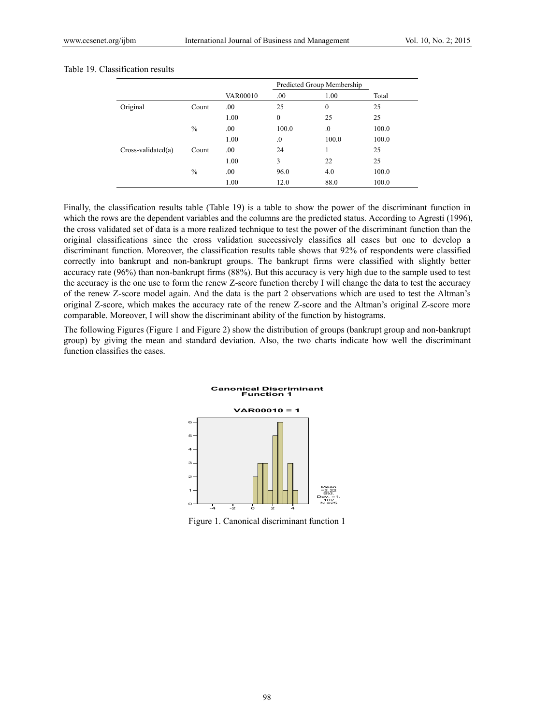#### Table 19. Classification results

|                     |               |                 |                  | Predicted Group Membership |       |
|---------------------|---------------|-----------------|------------------|----------------------------|-------|
|                     |               | <b>VAR00010</b> | .00              | 1.00                       | Total |
| Original            | Count         | .00.            | 25               | $\theta$                   | 25    |
|                     |               | 1.00            | $\boldsymbol{0}$ | 25                         | 25    |
|                     | $\frac{0}{0}$ | .00.            | 100.0            | $\cdot$                    | 100.0 |
|                     |               | 1.00            | $\Omega$ .       | 100.0                      | 100.0 |
| $Cross-valiated(a)$ | Count         | .00.            | 24               | 1                          | 25    |
|                     |               | 1.00            | 3                | 22                         | 25    |
|                     | $\frac{0}{0}$ | .00.            | 96.0             | 4.0                        | 100.0 |
|                     |               | 1.00            | 12.0             | 88.0                       | 100.0 |

Finally, the classification results table (Table 19) is a table to show the power of the discriminant function in which the rows are the dependent variables and the columns are the predicted status. According to Agresti (1996), the cross validated set of data is a more realized technique to test the power of the discriminant function than the original classifications since the cross validation successively classifies all cases but one to develop a discriminant function. Moreover, the classification results table shows that 92% of respondents were classified correctly into bankrupt and non-bankrupt groups. The bankrupt firms were classified with slightly better accuracy rate (96%) than non-bankrupt firms (88%). But this accuracy is very high due to the sample used to test the accuracy is the one use to form the renew Z-score function thereby I will change the data to test the accuracy of the renew Z-score model again. And the data is the part 2 observations which are used to test the Altman's original Z-score, which makes the accuracy rate of the renew Z-score and the Altman's original Z-score more comparable. Moreover, I will show the discriminant ability of the function by histograms.

The following Figures (Figure 1 and Figure 2) show the distribution of groups (bankrupt group and non-bankrupt group) by giving the mean and standard deviation. Also, the two charts indicate how well the discriminant function classifies the cases.



Figure 1. Canonical discriminant function 1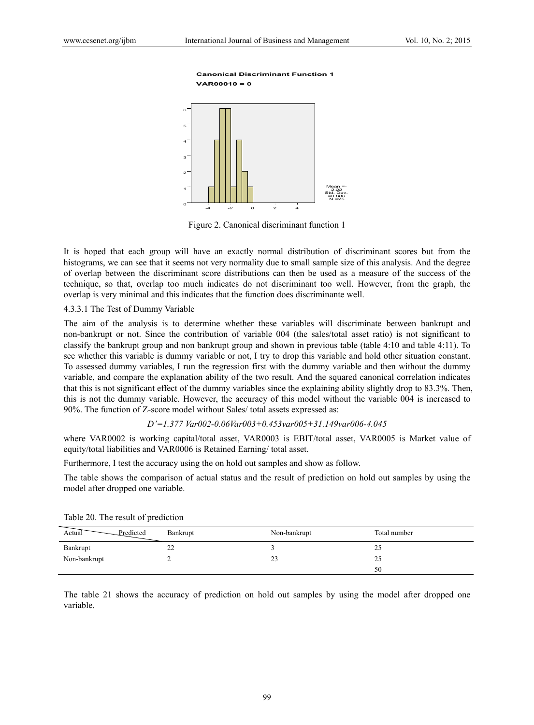#### **VAR00010 = 0 Canonical Discriminant Function 1**



Figure 2. Canonical discriminant function 1

It is hoped that each group will have an exactly normal distribution of discriminant scores but from the histograms, we can see that it seems not very normality due to small sample size of this analysis. And the degree of overlap between the discriminant score distributions can then be used as a measure of the success of the technique, so that, overlap too much indicates do not discriminant too well. However, from the graph, the overlap is very minimal and this indicates that the function does discriminante well.

#### 4.3.3.1 The Test of Dummy Variable

The aim of the analysis is to determine whether these variables will discriminate between bankrupt and non-bankrupt or not. Since the contribution of variable 004 (the sales/total asset ratio) is not significant to classify the bankrupt group and non bankrupt group and shown in previous table (table 4:10 and table 4:11). To see whether this variable is dummy variable or not, I try to drop this variable and hold other situation constant. To assessed dummy variables, I run the regression first with the dummy variable and then without the dummy variable, and compare the explanation ability of the two result. And the squared canonical correlation indicates that this is not significant effect of the dummy variables since the explaining ability slightly drop to 83.3%. Then, this is not the dummy variable. However, the accuracy of this model without the variable 004 is increased to 90%. The function of Z-score model without Sales/ total assets expressed as:

#### *D'=1.377 Var002-0.06Var003+0.453var005+31.149var006-4.045*

where VAR0002 is working capital/total asset, VAR0003 is EBIT/total asset, VAR0005 is Market value of equity/total liabilities and VAR0006 is Retained Earning/ total asset.

Furthermore, I test the accuracy using the on hold out samples and show as follow.

The table shows the comparison of actual status and the result of prediction on hold out samples by using the model after dropped one variable.

| Actual<br>Predicted | Bankrupt | Non-bankrupt | Total number |
|---------------------|----------|--------------|--------------|
| Bankrupt            | 22       |              | 25           |
| Non-bankrupt        |          | 23           | 25           |
|                     |          |              | 50           |

Table 20. The result of prediction

The table 21 shows the accuracy of prediction on hold out samples by using the model after dropped one variable.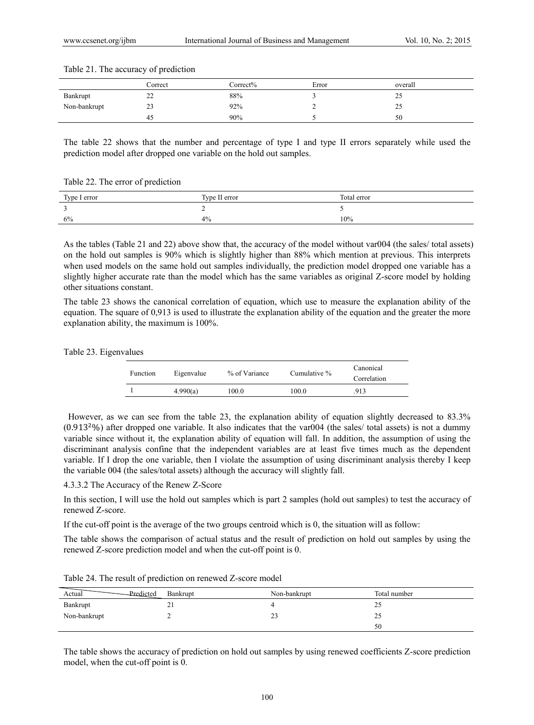|              | Correct  | Correct% | Error | overall |
|--------------|----------|----------|-------|---------|
| Bankrupt     | າາ<br>∠∠ | 88%      |       | رے      |
| Non-bankrupt | 23       | 92%      |       | ر_ر     |
|              | 45       | 90%      |       | 50      |

#### Table 21. The accuracy of prediction

The table 22 shows that the number and percentage of type I and type II errors separately while used the prediction model after dropped one variable on the hold out samples.

Table 22. The error of prediction

| Type I error | Type II error | Total error |
|--------------|---------------|-------------|
| <b>A</b>     |               |             |
| 6%           | 4%            | 10%         |

As the tables (Table 21 and 22) above show that, the accuracy of the model without var004 (the sales/ total assets) on the hold out samples is 90% which is slightly higher than 88% which mention at previous. This interprets when used models on the same hold out samples individually, the prediction model dropped one variable has a slightly higher accurate rate than the model which has the same variables as original Z-score model by holding other situations constant.

The table 23 shows the canonical correlation of equation, which use to measure the explanation ability of the equation. The square of 0,913 is used to illustrate the explanation ability of the equation and the greater the more explanation ability, the maximum is 100%.

#### Table 23. Eigenvalues

| Function | Eigenvalue | % of Variance | Cumulative % | Canonical<br>Correlation |
|----------|------------|---------------|--------------|--------------------------|
|          | 4.990(a)   | 100.0         | 100.0        | .913                     |

 However, as we can see from the table 23, the explanation ability of equation slightly decreased to 83.3%  $(0.913<sup>2</sup>%)$  after dropped one variable. It also indicates that the var004 (the sales/ total assets) is not a dummy variable since without it, the explanation ability of equation will fall. In addition, the assumption of using the discriminant analysis confine that the independent variables are at least five times much as the dependent variable. If I drop the one variable, then I violate the assumption of using discriminant analysis thereby I keep the variable 004 (the sales/total assets) although the accuracy will slightly fall.

4.3.3.2 The Accuracy of the Renew Z-Score

In this section, I will use the hold out samples which is part 2 samples (hold out samples) to test the accuracy of renewed Z-score.

If the cut-off point is the average of the two groups centroid which is 0, the situation will as follow:

The table shows the comparison of actual status and the result of prediction on hold out samples by using the renewed Z-score prediction model and when the cut-off point is 0.

|                     | $10000 \pm 1$ . The result of prediction on renewed $\pm$ secret incur- |              |              |
|---------------------|-------------------------------------------------------------------------|--------------|--------------|
| Actual<br>Predicted | Bankrupt                                                                | Non-bankrupt | Total number |
| Bankrupt            |                                                                         |              |              |
| Non-bankrupt        |                                                                         | 42           |              |
|                     |                                                                         |              | 50           |

Table 24. The result of prediction on renewed Z-score model

The table shows the accuracy of prediction on hold out samples by using renewed coefficients Z-score prediction model, when the cut-off point is 0.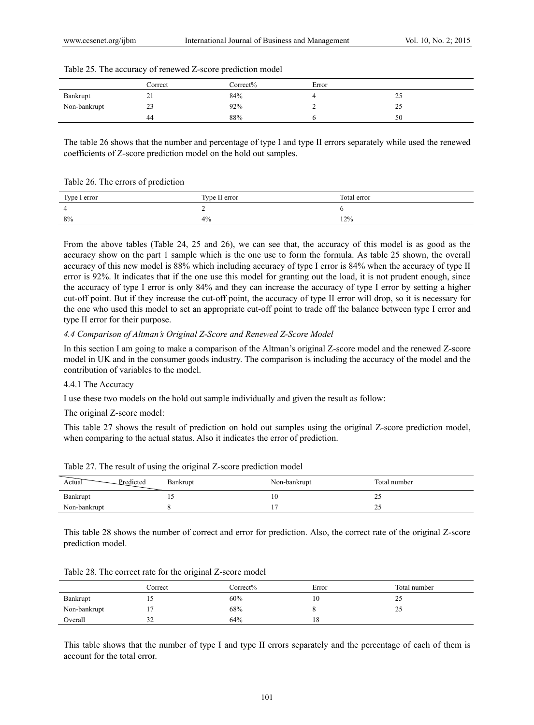|              | Correct    | Correct% | Error |    |
|--------------|------------|----------|-------|----|
| Bankrupt     | $\angle 1$ | 84%      |       | رے |
| Non-bankrupt | 23         | 92%      |       | رے |
|              | 44         | 88%      |       | 50 |

#### Table 25. The accuracy of renewed Z-score prediction model

The table 26 shows that the number and percentage of type I and type II errors separately while used the renewed coefficients of Z-score prediction model on the hold out samples.

#### Table 26. The errors of prediction

| Type I error | Type II error | Total error |
|--------------|---------------|-------------|
| $\Delta$     |               |             |
| 8%           | 4%            | 12%         |

From the above tables (Table 24, 25 and 26), we can see that, the accuracy of this model is as good as the accuracy show on the part 1 sample which is the one use to form the formula. As table 25 shown, the overall accuracy of this new model is 88% which including accuracy of type I error is 84% when the accuracy of type II error is 92%. It indicates that if the one use this model for granting out the load, it is not prudent enough, since the accuracy of type I error is only 84% and they can increase the accuracy of type I error by setting a higher cut-off point. But if they increase the cut-off point, the accuracy of type II error will drop, so it is necessary for the one who used this model to set an appropriate cut-off point to trade off the balance between type I error and type II error for their purpose.

#### *4.4 Comparison of Altman's Original Z-Score and Renewed Z-Score Model*

In this section I am going to make a comparison of the Altman's original Z-score model and the renewed Z-score model in UK and in the consumer goods industry. The comparison is including the accuracy of the model and the contribution of variables to the model.

#### 4.4.1 The Accuracy

I use these two models on the hold out sample individually and given the result as follow:

The original Z-score model:

This table 27 shows the result of prediction on hold out samples using the original Z-score prediction model, when comparing to the actual status. Also it indicates the error of prediction.

| Predicted<br>Actual | Bankrupt | Non-bankrupt | Total number |
|---------------------|----------|--------------|--------------|
| Bankrupt            | . .      | ΙU           | ت ک          |
| Non-bankrupt        |          |              | ت ک          |

Table 27. The result of using the original Z-score prediction model

This table 28 shows the number of correct and error for prediction. Also, the correct rate of the original Z-score prediction model.

|              | Correct | Correct% | Error | Total number |
|--------------|---------|----------|-------|--------------|
| Bankrupt     | IJ      | 60%      | 10    | رے           |
| Non-bankrupt |         | 68%      |       | 20           |
| Overall      | 32      | 64%      | 18    |              |

Table 28. The correct rate for the original Z-score model

This table shows that the number of type I and type II errors separately and the percentage of each of them is account for the total error.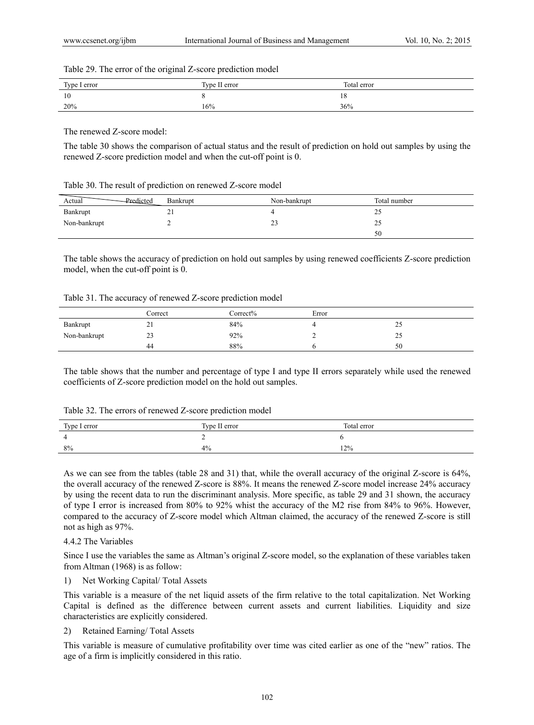#### Table 29. The error of the original Z-score prediction model

| Type I error | Type II error | Total error |
|--------------|---------------|-------------|
| 10           |               | 18          |
| 20%          | 16%           | 36%         |

The renewed Z-score model:

The table 30 shows the comparison of actual status and the result of prediction on hold out samples by using the renewed Z-score prediction model and when the cut-off point is 0.

| Table 30. The result of prediction on renewed Z-score model |  |  |  |  |  |
|-------------------------------------------------------------|--|--|--|--|--|
|-------------------------------------------------------------|--|--|--|--|--|

| Predicted<br>Actual | Bankrupt | Non-bankrupt  | Total number |
|---------------------|----------|---------------|--------------|
| Bankrupt            | 41       |               | 20           |
| Non-bankrupt        |          | $\sim$<br>ر ے | 25           |
|                     |          |               | 50           |

The table shows the accuracy of prediction on hold out samples by using renewed coefficients Z-score prediction model, when the cut-off point is 0.

| Table 31. The accuracy of renewed Z-score prediction model |  |  |
|------------------------------------------------------------|--|--|
|                                                            |  |  |

|              | Correct | Correct% | Error |     |  |
|--------------|---------|----------|-------|-----|--|
| Bankrupt     | 21      | 84%      |       | ر ے |  |
| Non-bankrupt | 23      | 92%      |       | نەك |  |
|              | 44      | 88%      |       | 50  |  |

The table shows that the number and percentage of type I and type II errors separately while used the renewed coefficients of Z-score prediction model on the hold out samples.

| Type I error | Type II error | Total error |
|--------------|---------------|-------------|
| 4            |               |             |
| 8%           | 4%            | 12%         |

As we can see from the tables (table 28 and 31) that, while the overall accuracy of the original Z-score is 64%, the overall accuracy of the renewed Z-score is 88%. It means the renewed Z-score model increase 24% accuracy by using the recent data to run the discriminant analysis. More specific, as table 29 and 31 shown, the accuracy of type I error is increased from 80% to 92% whist the accuracy of the M2 rise from 84% to 96%. However, compared to the accuracy of Z-score model which Altman claimed, the accuracy of the renewed Z-score is still not as high as 97%.

4.4.2 The Variables

Since I use the variables the same as Altman's original Z-score model, so the explanation of these variables taken from Altman (1968) is as follow:

# 1) Net Working Capital/ Total Assets

This variable is a measure of the net liquid assets of the firm relative to the total capitalization. Net Working Capital is defined as the difference between current assets and current liabilities. Liquidity and size characteristics are explicitly considered.

# 2) Retained Earning/ Total Assets

This variable is measure of cumulative profitability over time was cited earlier as one of the "new" ratios. The age of a firm is implicitly considered in this ratio.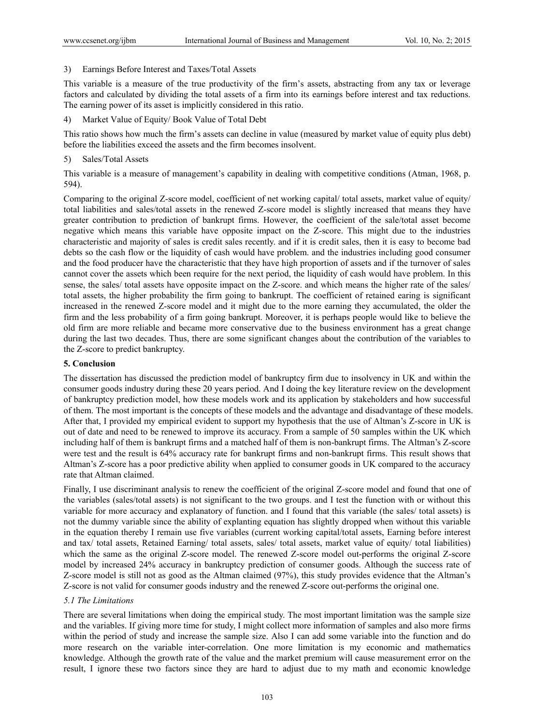3) Earnings Before Interest and Taxes/Total Assets

This variable is a measure of the true productivity of the firm's assets, abstracting from any tax or leverage factors and calculated by dividing the total assets of a firm into its earnings before interest and tax reductions. The earning power of its asset is implicitly considered in this ratio.

4) Market Value of Equity/ Book Value of Total Debt

This ratio shows how much the firm's assets can decline in value (measured by market value of equity plus debt) before the liabilities exceed the assets and the firm becomes insolvent.

#### 5) Sales/Total Assets

This variable is a measure of management's capability in dealing with competitive conditions (Atman, 1968, p. 594).

Comparing to the original Z-score model, coefficient of net working capital/ total assets, market value of equity/ total liabilities and sales/total assets in the renewed Z-score model is slightly increased that means they have greater contribution to prediction of bankrupt firms. However, the coefficient of the sale/total asset become negative which means this variable have opposite impact on the Z-score. This might due to the industries characteristic and majority of sales is credit sales recently. and if it is credit sales, then it is easy to become bad debts so the cash flow or the liquidity of cash would have problem. and the industries including good consumer and the food producer have the characteristic that they have high proportion of assets and if the turnover of sales cannot cover the assets which been require for the next period, the liquidity of cash would have problem. In this sense, the sales/ total assets have opposite impact on the Z-score. and which means the higher rate of the sales/ total assets, the higher probability the firm going to bankrupt. The coefficient of retained earing is significant increased in the renewed Z-score model and it might due to the more earning they accumulated, the older the firm and the less probability of a firm going bankrupt. Moreover, it is perhaps people would like to believe the old firm are more reliable and became more conservative due to the business environment has a great change during the last two decades. Thus, there are some significant changes about the contribution of the variables to the Z-score to predict bankruptcy.

#### **5. Conclusion**

The dissertation has discussed the prediction model of bankruptcy firm due to insolvency in UK and within the consumer goods industry during these 20 years period. And I doing the key literature review on the development of bankruptcy prediction model, how these models work and its application by stakeholders and how successful of them. The most important is the concepts of these models and the advantage and disadvantage of these models. After that, I provided my empirical evident to support my hypothesis that the use of Altman's Z-score in UK is out of date and need to be renewed to improve its accuracy. From a sample of 50 samples within the UK which including half of them is bankrupt firms and a matched half of them is non-bankrupt firms. The Altman's Z-score were test and the result is 64% accuracy rate for bankrupt firms and non-bankrupt firms. This result shows that Altman's Z-score has a poor predictive ability when applied to consumer goods in UK compared to the accuracy rate that Altman claimed.

Finally, I use discriminant analysis to renew the coefficient of the original Z-score model and found that one of the variables (sales/total assets) is not significant to the two groups. and I test the function with or without this variable for more accuracy and explanatory of function. and I found that this variable (the sales/ total assets) is not the dummy variable since the ability of explanting equation has slightly dropped when without this variable in the equation thereby I remain use five variables (current working capital/total assets, Earning before interest and tax/ total assets, Retained Earning/ total assets, sales/ total assets, market value of equity/ total liabilities) which the same as the original Z-score model. The renewed Z-score model out-performs the original Z-score model by increased 24% accuracy in bankruptcy prediction of consumer goods. Although the success rate of Z-score model is still not as good as the Altman claimed (97%), this study provides evidence that the Altman's Z-score is not valid for consumer goods industry and the renewed Z-score out-performs the original one.

## *5.1 The Limitations*

There are several limitations when doing the empirical study. The most important limitation was the sample size and the variables. If giving more time for study, I might collect more information of samples and also more firms within the period of study and increase the sample size. Also I can add some variable into the function and do more research on the variable inter-correlation. One more limitation is my economic and mathematics knowledge. Although the growth rate of the value and the market premium will cause measurement error on the result, I ignore these two factors since they are hard to adjust due to my math and economic knowledge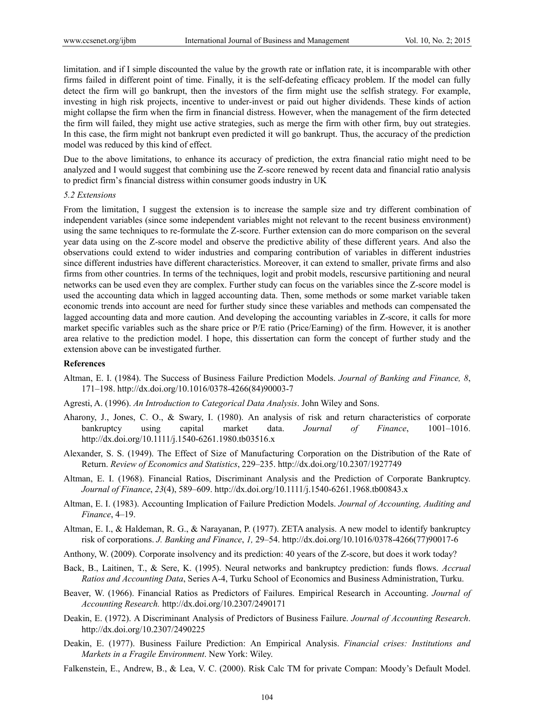limitation. and if I simple discounted the value by the growth rate or inflation rate, it is incomparable with other firms failed in different point of time. Finally, it is the self-defeating efficacy problem. If the model can fully detect the firm will go bankrupt, then the investors of the firm might use the selfish strategy. For example, investing in high risk projects, incentive to under-invest or paid out higher dividends. These kinds of action might collapse the firm when the firm in financial distress. However, when the management of the firm detected the firm will failed, they might use active strategies, such as merge the firm with other firm, buy out strategies. In this case, the firm might not bankrupt even predicted it will go bankrupt. Thus, the accuracy of the prediction model was reduced by this kind of effect.

Due to the above limitations, to enhance its accuracy of prediction, the extra financial ratio might need to be analyzed and I would suggest that combining use the Z-score renewed by recent data and financial ratio analysis to predict firm's financial distress within consumer goods industry in UK

#### *5.2 Extensions*

From the limitation, I suggest the extension is to increase the sample size and try different combination of independent variables (since some independent variables might not relevant to the recent business environment) using the same techniques to re-formulate the Z-score. Further extension can do more comparison on the several year data using on the Z-score model and observe the predictive ability of these different years. And also the observations could extend to wider industries and comparing contribution of variables in different industries since different industries have different characteristics. Moreover, it can extend to smaller, private firms and also firms from other countries. In terms of the techniques, logit and probit models, rescursive partitioning and neural networks can be used even they are complex. Further study can focus on the variables since the Z-score model is used the accounting data which in lagged accounting data. Then, some methods or some market variable taken economic trends into account are need for further study since these variables and methods can compensated the lagged accounting data and more caution. And developing the accounting variables in Z-score, it calls for more market specific variables such as the share price or P/E ratio (Price/Earning) of the firm. However, it is another area relative to the prediction model. I hope, this dissertation can form the concept of further study and the extension above can be investigated further.

#### **References**

- Altman, E. I. (1984). The Success of Business Failure Prediction Models. *Journal of Banking and Finance, 8*, 171–198. http://dx.doi.org/10.1016/0378-4266(84)90003-7
- Agresti, A. (1996). *An Introduction to Categorical Data Analysis*. John Wiley and Sons.
- Aharony, J., Jones, C. O., & Swary, I. (1980). An analysis of risk and return characteristics of corporate bankruptcy using capital market data. *Journal of Finance*, 1001–1016. http://dx.doi.org/10.1111/j.1540-6261.1980.tb03516.x
- Alexander, S. S. (1949). The Effect of Size of Manufacturing Corporation on the Distribution of the Rate of Return. *Review of Economics and Statistics*, 229–235. http://dx.doi.org/10.2307/1927749
- Altman, E. I. (1968). Financial Ratios, Discriminant Analysis and the Prediction of Corporate Bankruptcy. *Journal of Finance*, *23*(4), 589–609. http://dx.doi.org/10.1111/j.1540-6261.1968.tb00843.x
- Altman, E. I. (1983). Accounting Implication of Failure Prediction Models. *Journal of Accounting, Auditing and Finance*, 4–19.
- Altman, E. I., & Haldeman, R. G., & Narayanan, P. (1977). ZETA analysis. A new model to identify bankruptcy risk of corporations. *J. Banking and Finance*, *1,* 29–54. http://dx.doi.org/10.1016/0378-4266(77)90017-6
- Anthony, W. (2009). Corporate insolvency and its prediction: 40 years of the Z-score, but does it work today?
- Back, B., Laitinen, T., & Sere, K. (1995). Neural networks and bankruptcy prediction: funds flows. *Accrual Ratios and Accounting Data*, Series A-4, Turku School of Economics and Business Administration, Turku.
- Beaver, W. (1966). Financial Ratios as Predictors of Failures. Empirical Research in Accounting. *Journal of Accounting Research.* http://dx.doi.org/10.2307/2490171
- Deakin, E. (1972). A Discriminant Analysis of Predictors of Business Failure. *Journal of Accounting Research*. http://dx.doi.org/10.2307/2490225
- Deakin, E. (1977). Business Failure Prediction: An Empirical Analysis. *Financial crises: Institutions and Markets in a Fragile Environment*. New York: Wiley.
- Falkenstein, E., Andrew, B., & Lea, V. C. (2000). Risk Calc TM for private Compan: Moody's Default Model.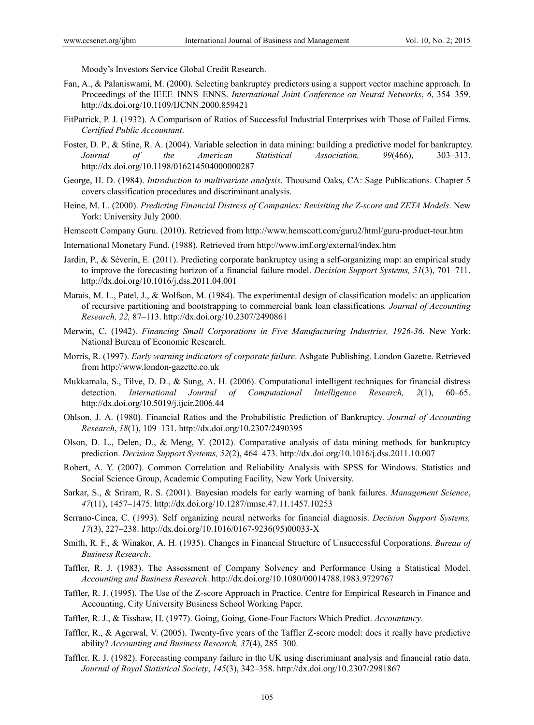Moody's Investors Service Global Credit Research.

- Fan, A., & Palaniswami, M. (2000). Selecting bankruptcy predictors using a support vector machine approach. In Proceedings of the IEEE–INNS–ENNS. *International Joint Conference on Neural Networks*, *6*, 354–359. http://dx.doi.org/10.1109/IJCNN.2000.859421
- FitPatrick, P. J. (1932). A Comparison of Ratios of Successful Industrial Enterprises with Those of Failed Firms. *Certified Public Accountant*.
- Foster, D. P., & Stine, R. A. (2004). Variable selection in data mining: building a predictive model for bankruptcy. *Journal of the American Statistical Association, 99*(466), 303–313. http://dx.doi.org/10.1198/016214504000000287
- George, H. D. (1984). *Introduction to multivariate analysis*. Thousand Oaks, CA: Sage Publications. Chapter 5 covers classification procedures and discriminant analysis.
- Heine, M. L. (2000). *Predicting Financial Distress of Companies: Revisiting the Z-score and ZETA Models*. New York: University July 2000.

Hemscott Company Guru. (2010). Retrieved from http://www.hemscott.com/guru2/html/guru-product-tour.htm

International Monetary Fund. (1988). Retrieved from http://www.imf.org/external/index.htm

- Jardin, P., & Séverin, E. (2011). Predicting corporate bankruptcy using a self-organizing map: an empirical study to improve the forecasting horizon of a financial failure model. *Decision Support Systems, 51*(3), 701–711. http://dx.doi.org/10.1016/j.dss.2011.04.001
- Marais, M. L., Patel, J., & Wolfson, M. (1984). The experimental design of classification models: an application of recursive partitioning and bootstrapping to commercial bank loan classifications*. Journal of Accounting Research, 22,* 87–113. http://dx.doi.org/10.2307/2490861
- Merwin, C. (1942). *Financing Small Corporations in Five Manufacturing Industries, 1926-36*. New York: National Bureau of Economic Research.
- Morris, R. (1997). *Early warning indicators of corporate failure*. Ashgate Publishing. London Gazette. Retrieved from http://www.london-gazette.co.uk
- Mukkamala, S., Tilve, D. D., & Sung, A. H. (2006). Computational intelligent techniques for financial distress detection. *International Journal of Computational Intelligence Research, 2*(1), 60–65. http://dx.doi.org/10.5019/j.ijcir.2006.44
- Ohlson, J. A. (1980). Financial Ratios and the Probabilistic Prediction of Bankruptcy. *Journal of Accounting Research*, *18*(1), 109–131. http://dx.doi.org/10.2307/2490395
- Olson, D. L., Delen, D., & Meng, Y. (2012). Comparative analysis of data mining methods for bankruptcy prediction. *Decision Support Systems, 52*(2), 464–473. http://dx.doi.org/10.1016/j.dss.2011.10.007
- Robert, A. Y. (2007). Common Correlation and Reliability Analysis with SPSS for Windows. Statistics and Social Science Group, Academic Computing Facility, New York University.
- Sarkar, S., & Sriram, R. S. (2001). Bayesian models for early warning of bank failures. *Management Science*, *47*(11), 1457–1475. http://dx.doi.org/10.1287/mnsc.47.11.1457.10253
- Serrano-Cinca, C. (1993). Self organizing neural networks for financial diagnosis. *Decision Support Systems, 17*(3), 227–238. http://dx.doi.org/10.1016/0167-9236(95)00033-X
- Smith, R. F., & Winakor, A. H. (1935). Changes in Financial Structure of Unsuccessful Corporations. *Bureau of Business Research*.
- Taffler, R. J. (1983). The Assessment of Company Solvency and Performance Using a Statistical Model. *Accounting and Business Research*. http://dx.doi.org/10.1080/00014788.1983.9729767
- Taffler, R. J. (1995). The Use of the Z-score Approach in Practice. Centre for Empirical Research in Finance and Accounting, City University Business School Working Paper.
- Taffler, R. J., & Tisshaw, H. (1977). Going, Going, Gone-Four Factors Which Predict. *Accountancy*.
- Taffler, R., & Agerwal, V. (2005). Twenty-five years of the Taffler Z-score model: does it really have predictive ability? *Accounting and Business Research, 37*(4), 285–300.
- Taffler. R. J. (1982). Forecasting company failure in the UK using discriminant analysis and financial ratio data. *Journal of Royal Statistical Society*, *145*(3), 342–358. http://dx.doi.org/10.2307/2981867